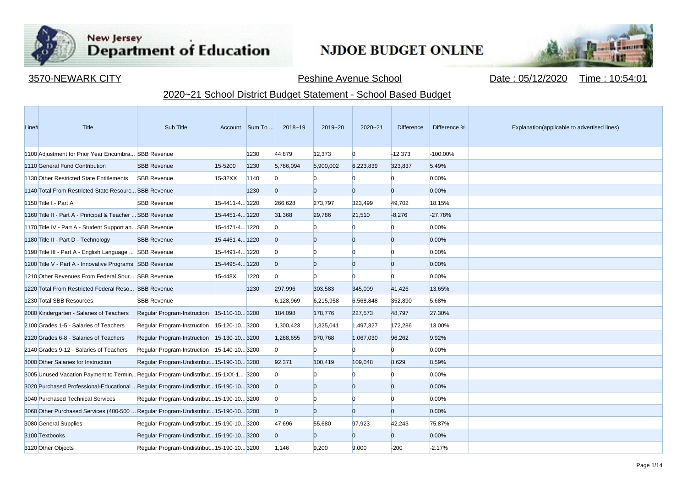

**Contract Contract** 

## New Jersey<br>Department of Education

## **NJDOE BUDGET ONLINE**



3570-NEWARK CITY Peshine Avenue School Date : 05/12/2020 Time : 10:54:01

## 2020~21 School District Budget Statement - School Based Budget

| Line# | Title                                                                               | Sub Title                                  |                | Account Sum To | 2018~19        | 2019~20        | $2020 - 21$    | <b>Difference</b> | Difference % | Explanation(applicable to advertised lines) |
|-------|-------------------------------------------------------------------------------------|--------------------------------------------|----------------|----------------|----------------|----------------|----------------|-------------------|--------------|---------------------------------------------|
|       | 1100 Adjustment for Prior Year Encumbra SBB Revenue                                 |                                            |                | 1230           | 44,879         | 12,373         | $\Omega$       | $-12,373$         | -100.00%     |                                             |
|       | 1110 General Fund Contribution                                                      | <b>SBB Revenue</b>                         | 15-5200        | 1230           | 5,786,094      | 5,900,002      | 6,223,839      | 323,837           | 5.49%        |                                             |
|       | 1130 Other Restricted State Entitlements                                            | <b>SBB Revenue</b>                         | $15-32XX$      | 1140           | $\Omega$       | n              |                | n.                | 0.00%        |                                             |
|       | 1140 Total From Restricted State Resourc SBB Revenue                                |                                            |                | 1230           | $\Omega$       | $\Omega$       | $\Omega$       | $\overline{0}$    | 0.00%        |                                             |
|       | 1150 Title I - Part A                                                               | <b>SBB Revenue</b>                         | 15-4411-4 1220 |                | 266,628        | 273,797        | 323,499        | 49,702            | 18.15%       |                                             |
|       | 1160 Title II - Part A - Principal & Teacher  SBB Revenue                           |                                            | 15-4451-4 1220 |                | 31,368         | 29,786         | 21,510         | $-8,276$          | $-27.78%$    |                                             |
|       | 1170 Title IV - Part A - Student Support an SBB Revenue                             |                                            | 15-4471-4 1220 |                | $\Omega$       |                |                | $\Omega$          | 0.00%        |                                             |
|       | 1180 Title II - Part D - Technology                                                 | <b>SBB Revenue</b>                         | 15-4451-4 1220 |                | $\overline{0}$ | $\overline{0}$ | $\Omega$       | $\overline{0}$    | $0.00\%$     |                                             |
|       | 1190 Title III - Part A - English Language  SBB Revenue                             |                                            | 15-4491-4 1220 |                | $\Omega$       | $\Omega$       | n              | $\Omega$          | 0.00%        |                                             |
|       | 1200 Title V - Part A - Innovative Programs SBB Revenue                             |                                            | 15-4495-4 1220 |                | $\overline{0}$ | $\Omega$       | $\Omega$       | $\overline{0}$    | 0.00%        |                                             |
|       | 1210 Other Revenues From Federal Sour SBB Revenue                                   |                                            | 15-448X        | 1220           | $\Omega$       | $\Omega$       | n              | $\Omega$          | 0.00%        |                                             |
|       | 1220 Total From Restricted Federal Reso SBB Revenue                                 |                                            |                | 1230           | 297,996        | 303,583        | 345,009        | 41,426            | 13.65%       |                                             |
|       | 1230 Total SBB Resources                                                            | <b>SBB Revenue</b>                         |                |                | 6,128,969      | 6,215,958      | 6,568,848      | 352,890           | 5.68%        |                                             |
|       | 2080 Kindergarten - Salaries of Teachers                                            | Regular Program-Instruction 15-110-103200  |                |                | 184,098        | 178,776        | 227,573        | 48,797            | 27.30%       |                                             |
|       | 2100 Grades 1-5 - Salaries of Teachers                                              | Regular Program-Instruction 15-120-103200  |                |                | 1,300,423      | 1,325,041      | 1,497,327      | 172,286           | 13.00%       |                                             |
|       | 2120 Grades 6-8 - Salaries of Teachers                                              | Regular Program-Instruction 15-130-103200  |                |                | 1,268,655      | 970,768        | 1,067,030      | 96,262            | 9.92%        |                                             |
|       | 2140 Grades 9-12 - Salaries of Teachers                                             | Regular Program-Instruction 15-140-103200  |                |                | $\Omega$       | n              |                | $\Omega$          | 0.00%        |                                             |
|       | 3000 Other Salaries for Instruction                                                 | Regular Program-Undistribut 15-190-10 3200 |                |                | 92,371         | 100.419        | 109.048        | 8.629             | 8.59%        |                                             |
|       | 3005 Unused Vacation Payment to TerminRegular Program-Undistribut15-1XX-1 3200      |                                            |                |                | $\bf{0}$       |                | n              | $\mathbf{0}$      | 0.00%        |                                             |
|       | 3020 Purchased Professional-Educational  Regular Program-Undistribut 15-190-10 3200 |                                            |                |                | $\overline{0}$ | $\overline{0}$ | $\Omega$       | $\overline{0}$    | 0.00%        |                                             |
|       | 3040 Purchased Technical Services                                                   | Regular Program-Undistribut 15-190-10 3200 |                |                | $\Omega$       | $\Omega$       | n              | $\Omega$          | 0.00%        |                                             |
|       | 3060 Other Purchased Services (400-500  Regular Program-Undistribut15-190-103200    |                                            |                |                | $\overline{0}$ | $\Omega$       | $\overline{0}$ | $\overline{0}$    | 0.00%        |                                             |
|       | 3080 General Supplies                                                               | Regular Program-Undistribut 15-190-10 3200 |                |                | 47,696         | 55,680         | 97,923         | 42,243            | 75.87%       |                                             |
|       | 3100 Textbooks                                                                      | Regular Program-Undistribut 15-190-10 3200 |                |                | $\overline{0}$ | $\Omega$       | $\Omega$       | $\overline{0}$    | 0.00%        |                                             |
|       | 3120 Other Objects                                                                  | Regular Program-Undistribut 15-190-10 3200 |                |                | 1,146          | 9,200          | 9,000          | $-200$            | $-2.17%$     |                                             |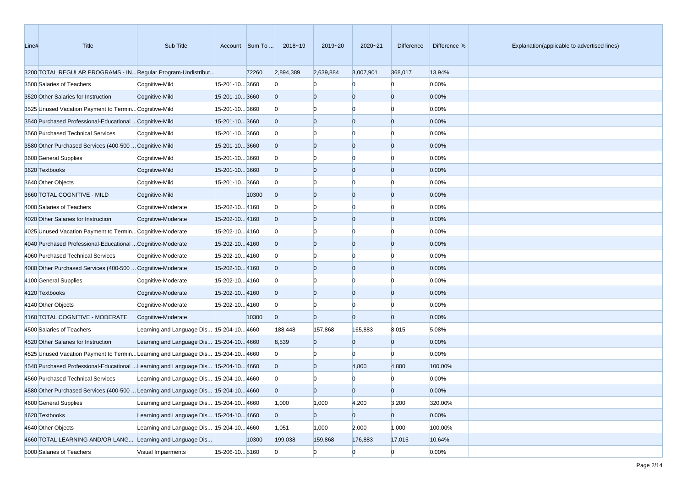| Line# | Title                                                                             | Sub Title                                |                | Account Sum To | 2018~19        | 2019~20        | 2020~21        | Difference     | Difference % | Explanation(applicable to advertised lines) |
|-------|-----------------------------------------------------------------------------------|------------------------------------------|----------------|----------------|----------------|----------------|----------------|----------------|--------------|---------------------------------------------|
|       | 3200 TOTAL REGULAR PROGRAMS - IN Regular Program-Undistribut                      |                                          |                | 72260          | 2,894,389      | 2,639,884      | 3,007,901      | 368,017        | 13.94%       |                                             |
|       | 3500 Salaries of Teachers                                                         | Cognitive-Mild                           | 15-201-10 3660 |                | $\bf{0}$       | $\Omega$       | n              | $\Omega$       | 0.00%        |                                             |
|       | 3520 Other Salaries for Instruction                                               | Cognitive-Mild                           | 15-201-103660  |                | $\overline{0}$ | $\overline{0}$ | $\overline{0}$ | $\overline{0}$ | 0.00%        |                                             |
|       | 3525 Unused Vacation Payment to Termin Cognitive-Mild                             |                                          | 15-201-103660  |                | $\bf{0}$       | $\Omega$       | $\Omega$       | n              | 0.00%        |                                             |
|       | 3540 Purchased Professional-Educational  Cognitive-Mild                           |                                          | 15-201-103660  |                | $\overline{0}$ | $\overline{0}$ | $\overline{0}$ | $\Omega$       | 0.00%        |                                             |
|       | 3560 Purchased Technical Services                                                 | Cognitive-Mild                           | 15-201-103660  |                | $\bf{0}$       | $\Omega$       | $\Omega$       | n              | 0.00%        |                                             |
|       | 3580 Other Purchased Services (400-500  Cognitive-Mild                            |                                          | 15-201-103660  |                | $\overline{0}$ | $\overline{0}$ | $\overline{0}$ | $\Omega$       | 0.00%        |                                             |
|       | 3600 General Supplies                                                             | Cognitive-Mild                           | 15-201-103660  |                | $\Omega$       | $\Omega$       | $\Omega$       | n              | 0.00%        |                                             |
|       | 3620 Textbooks                                                                    | Cognitive-Mild                           | 15-201-10 3660 |                | $\overline{0}$ | $\overline{0}$ | $\overline{0}$ | $\Omega$       | 0.00%        |                                             |
|       | 3640 Other Objects                                                                | Cognitive-Mild                           | 15-201-103660  |                | $\Omega$       | $\overline{0}$ | $\Omega$       | n              | 0.00%        |                                             |
|       | 3660 TOTAL COGNITIVE - MILD                                                       | Cognitive-Mild                           |                | 10300          | $\mathbf{0}$   | $\overline{0}$ | $\overline{0}$ | $\overline{0}$ | 0.00%        |                                             |
|       | 4000 Salaries of Teachers                                                         | Cognitive-Moderate                       | 15-202-104160  |                | $\Omega$       | $\bf{0}$       | $\Omega$       | n              | 0.00%        |                                             |
|       | 4020 Other Salaries for Instruction                                               | Cognitive-Moderate                       | 15-202-104160  |                | $\overline{0}$ | $\overline{0}$ | $\overline{0}$ | $\Omega$       | 0.00%        |                                             |
|       | 4025 Unused Vacation Payment to Termin Cognitive-Moderate                         |                                          | 15-202-104160  |                | $\bf{0}$       | $\Omega$       | $\Omega$       | n              | 0.00%        |                                             |
|       | 4040 Purchased Professional-Educational  Cognitive-Moderate                       |                                          | 15-202-104160  |                | $\overline{0}$ | $\overline{0}$ | $\overline{0}$ | $\Omega$       | 0.00%        |                                             |
|       | 4060 Purchased Technical Services                                                 | Cognitive-Moderate                       | 15-202-104160  |                | $\Omega$       | $\Omega$       | $\Omega$       | n              | 0.00%        |                                             |
|       | 4080 Other Purchased Services (400-500  Cognitive-Moderate                        |                                          | 15-202-104160  |                | $\overline{0}$ | $\overline{0}$ | $\overline{0}$ | $\overline{0}$ | 0.00%        |                                             |
|       | 4100 General Supplies                                                             | Cognitive-Moderate                       | 15-202-104160  |                | $\mathbf{0}$   | $\overline{0}$ | $\Omega$       | n              | 0.00%        |                                             |
|       | 4120 Textbooks                                                                    | Cognitive-Moderate                       | 15-202-104160  |                | $\overline{0}$ | $\overline{0}$ | $\overline{0}$ | $\Omega$       | 0.00%        |                                             |
|       | 4140 Other Objects                                                                | Cognitive-Moderate                       | 15-202-104160  |                | $\mathbf{0}$   | $\overline{0}$ | $\Omega$       | n              | 0.00%        |                                             |
|       | 4160 TOTAL COGNITIVE - MODERATE                                                   | Cognitive-Moderate                       |                | 10300          | $\mathbf{0}$   | $\overline{0}$ | $\Omega$       | $\Omega$       | 0.00%        |                                             |
|       | 4500 Salaries of Teachers                                                         | Learning and Language Dis 15-204-10 4660 |                |                | 188,448        | 157,868        | 165,883        | 8,015          | 5.08%        |                                             |
|       | 4520 Other Salaries for Instruction                                               | Learning and Language Dis 15-204-10 4660 |                |                | 8,539          | $\overline{0}$ | $\overline{0}$ | $\overline{0}$ | 0.00%        |                                             |
|       | 4525 Unused Vacation Payment to Termin Learning and Language Dis 15-204-10 4660   |                                          |                |                | $\Omega$       | $\Omega$       |                | $\Omega$       | 0.00%        |                                             |
|       | 4540 Purchased Professional-Educational  Learning and Language Dis 15-204-10 4660 |                                          |                |                | $\overline{0}$ | $\overline{0}$ | 4,800          | 4,800          | 100.00%      |                                             |
|       | 4560 Purchased Technical Services                                                 | Learning and Language Dis 15-204-10 4660 |                |                | $\bf{0}$       |                |                |                | 0.00%        |                                             |
|       | 4580 Other Purchased Services (400-500  Learning and Language Dis 15-204-10 4660  |                                          |                |                | $\Omega$       | $\Omega$       | $\Omega$       |                | 0.00%        |                                             |
|       | 4600 General Supplies                                                             | Learning and Language Dis 15-204-10 4660 |                |                | 1,000          | 1,000          | 4,200          | 3,200          | 320.00%      |                                             |
|       | 4620 Textbooks                                                                    | Learning and Language Dis 15-204-10 4660 |                |                | $\overline{0}$ | $\overline{0}$ | $\overline{0}$ | $\circ$        | 0.00%        |                                             |
|       | 4640 Other Objects                                                                | Learning and Language Dis 15-204-10 4660 |                |                | 1,051          | 1,000          | 2,000          | 1,000          | 100.00%      |                                             |
|       | 4660 TOTAL LEARNING AND/OR LANG Learning and Language Dis                         |                                          |                | 10300          | 199,038        | 159,868        | 176,883        | 17,015         | 10.64%       |                                             |
|       | 5000 Salaries of Teachers                                                         | Visual Impairments                       | 15-206-10 5160 |                | $\overline{0}$ | $\overline{0}$ | $\Omega$       | $\overline{0}$ | 0.00%        |                                             |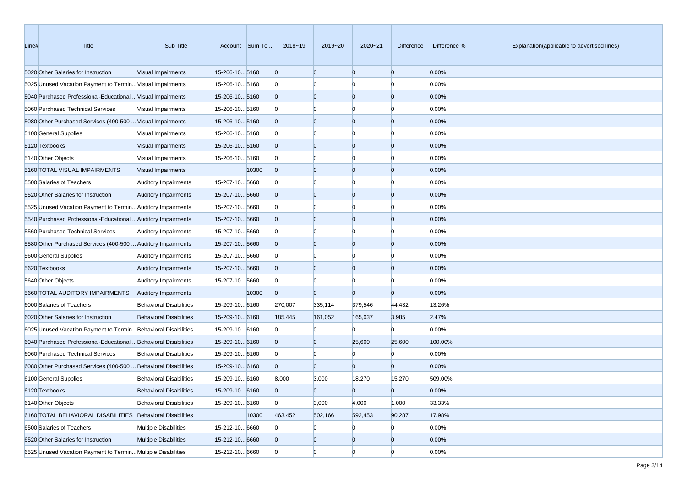| Line# | Title                                                            | Sub Title                      |                | Account Sum To | 2018~19        | 2019~20        | 2020~21        | Difference     | Difference % | Explanation(applicable to advertised lines) |
|-------|------------------------------------------------------------------|--------------------------------|----------------|----------------|----------------|----------------|----------------|----------------|--------------|---------------------------------------------|
|       | 5020 Other Salaries for Instruction                              | Visual Impairments             | 15-206-105160  |                | $\overline{0}$ | $\overline{0}$ | $\overline{0}$ | $\overline{0}$ | 0.00%        |                                             |
|       | 5025 Unused Vacation Payment to Termin Visual Impairments        |                                | 15-206-105160  |                | $\mathbf{0}$   | $\Omega$       | $\Omega$       | $\Omega$       | 0.00%        |                                             |
|       | 5040 Purchased Professional-Educational  Visual Impairments      |                                | 15-206-105160  |                | $\overline{0}$ | $\mathbf{0}$   | $\overline{0}$ | $\overline{0}$ | 0.00%        |                                             |
|       | 5060 Purchased Technical Services                                | Visual Impairments             | 15-206-105160  |                | $\mathbf{0}$   | $\Omega$       | $\Omega$       | n              | 0.00%        |                                             |
|       | 5080 Other Purchased Services (400-500  Visual Impairments       |                                | 15-206-105160  |                | $\overline{0}$ | $\Omega$       | $\overline{0}$ | $\Omega$       | 0.00%        |                                             |
|       | 5100 General Supplies                                            | Visual Impairments             | 15-206-105160  |                | $\mathbf{0}$   | $\Omega$       | $\Omega$       | n              | 0.00%        |                                             |
|       | 5120 Textbooks                                                   | Visual Impairments             | 15-206-10 5160 |                | $\overline{0}$ | $\overline{0}$ | $\overline{0}$ | $\overline{0}$ | 0.00%        |                                             |
|       | 5140 Other Objects                                               | Visual Impairments             | 15-206-105160  |                | $\mathbf{0}$   | $\Omega$       | $\Omega$       | $\Omega$       | 0.00%        |                                             |
|       | 5160 TOTAL VISUAL IMPAIRMENTS                                    | Visual Impairments             |                | 10300          | $\overline{0}$ | $\mathbf{0}$   | $\overline{0}$ | $\Omega$       | 0.00%        |                                             |
|       | 5500 Salaries of Teachers                                        | <b>Auditory Impairments</b>    | 15-207-105660  |                | $\mathbf{0}$   | $\Omega$       | $\Omega$       | n              | 0.00%        |                                             |
|       | 5520 Other Salaries for Instruction                              | <b>Auditory Impairments</b>    | 15-207-105660  |                | $\overline{0}$ | $\Omega$       | $\overline{0}$ | $\Omega$       | 0.00%        |                                             |
|       | 5525 Unused Vacation Payment to Termin Auditory Impairments      |                                | 15-207-105660  |                | $\mathbf{0}$   | $\Omega$       | $\Omega$       | n              | 0.00%        |                                             |
|       | 5540 Purchased Professional-Educational  Auditory Impairments    |                                | 15-207-105660  |                | $\overline{0}$ | $\overline{0}$ | $\overline{0}$ | $\overline{0}$ | 0.00%        |                                             |
|       | 5560 Purchased Technical Services                                | <b>Auditory Impairments</b>    | 15-207-105660  |                | $\mathbf{0}$   | $\Omega$       | $\Omega$       | $\Omega$       | 0.00%        |                                             |
|       | 5580 Other Purchased Services (400-500  Auditory Impairments     |                                | 15-207-105660  |                | $\overline{0}$ | $\Omega$       | $\overline{0}$ | $\overline{0}$ | 0.00%        |                                             |
|       | 5600 General Supplies                                            | <b>Auditory Impairments</b>    | 15-207-105660  |                | $\mathbf{0}$   | $\Omega$       | $\Omega$       | $\Omega$       | 0.00%        |                                             |
|       | 5620 Textbooks                                                   | <b>Auditory Impairments</b>    | 15-207-105660  |                | $\overline{0}$ | $\Omega$       | $\overline{0}$ | $\Omega$       | 0.00%        |                                             |
|       | 5640 Other Objects                                               | <b>Auditory Impairments</b>    | 15-207-105660  |                | $\mathbf{0}$   | $\Omega$       | n              | n              | 0.00%        |                                             |
|       | 5660 TOTAL AUDITORY IMPAIRMENTS                                  | <b>Auditory Impairments</b>    |                | 10300          | $\overline{0}$ | $\Omega$       | $\overline{0}$ | $\overline{0}$ | 0.00%        |                                             |
|       | 6000 Salaries of Teachers                                        | <b>Behavioral Disabilities</b> | 15-209-10 6160 |                | 270,007        | 335,114        | 379,546        | 44,432         | 13.26%       |                                             |
|       | 6020 Other Salaries for Instruction                              | <b>Behavioral Disabilities</b> | 15-209-106160  |                | 185,445        | 161,052        | 165,037        | 3,985          | 2.47%        |                                             |
|       | 6025 Unused Vacation Payment to Termin Behavioral Disabilities   |                                | 15-209-10 6160 |                | $\mathbf{0}$   | $\Omega$       |                | 0              | 0.00%        |                                             |
|       | 6040 Purchased Professional-Educational  Behavioral Disabilities |                                | 15-209-10 6160 |                | $\overline{0}$ | $\overline{0}$ | 25,600         | 25,600         | 100.00%      |                                             |
|       | 6060 Purchased Technical Services                                | <b>Behavioral Disabilities</b> | 15-209-10 6160 |                | $\mathbf{0}$   | $\Omega$       |                | $\Omega$       | 0.00%        |                                             |
|       | 6080 Other Purchased Services (400-500  Behavioral Disabilities  |                                | 15-209-10 6160 |                | $\overline{0}$ | $\Omega$       | $\overline{0}$ | $\overline{0}$ | 0.00%        |                                             |
|       | 6100 General Supplies                                            | <b>Behavioral Disabilities</b> | 15-209-10 6160 |                | 8,000          | 3,000          | 18,270         | 15,270         | 509.00%      |                                             |
|       | 6120 Textbooks                                                   | <b>Behavioral Disabilities</b> | 15-209-10 6160 |                | $\Omega$       | $\overline{0}$ | $\Omega$       | $\overline{0}$ | 0.00%        |                                             |
|       | 6140 Other Objects                                               | <b>Behavioral Disabilities</b> | 15-209-10 6160 |                | $\overline{0}$ | 3,000          | 4,000          | 1,000          | 33.33%       |                                             |
|       | 6160 TOTAL BEHAVIORAL DISABILITIES Behavioral Disabilities       |                                |                | 10300          | 463,452        | 502,166        | 592,453        | 90,287         | 17.98%       |                                             |
|       | 6500 Salaries of Teachers                                        | <b>Multiple Disabilities</b>   | 15-212-10 6660 |                | $\overline{0}$ | $\Omega$       | $\overline{0}$ | $\overline{0}$ | 0.00%        |                                             |
|       | 6520 Other Salaries for Instruction                              | <b>Multiple Disabilities</b>   | 15-212-10 6660 |                | $\overline{0}$ | $\mathbf{0}$   | $\overline{0}$ | $\overline{0}$ | 0.00%        |                                             |
|       | 6525 Unused Vacation Payment to Termin Multiple Disabilities     |                                | 15-212-10 6660 |                | $\overline{0}$ | $\overline{0}$ | $\overline{0}$ | $\overline{0}$ | 0.00%        |                                             |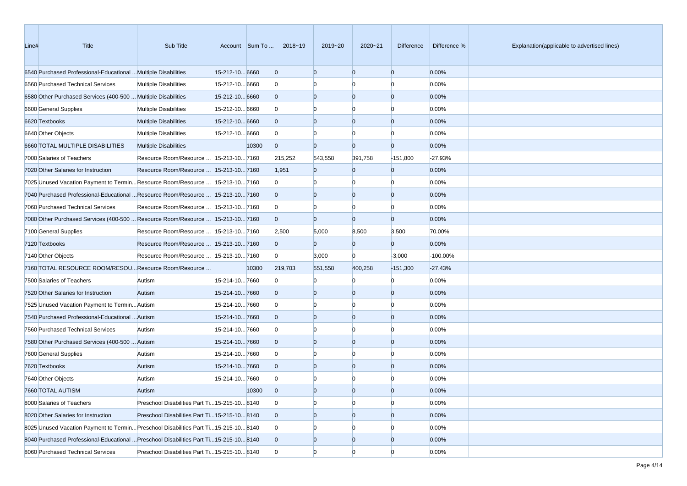| Line# | Title                                                                                 | Sub Title                                     |                | Account Sum To | 2018~19        | 2019~20        | 2020~21        | Difference     | Difference % | Explanation(applicable to advertised lines) |
|-------|---------------------------------------------------------------------------------------|-----------------------------------------------|----------------|----------------|----------------|----------------|----------------|----------------|--------------|---------------------------------------------|
|       | 6540 Purchased Professional-Educational  Multiple Disabilities                        |                                               | 15-212-10 6660 |                | $\overline{0}$ | $\overline{0}$ | $\overline{0}$ | $\overline{0}$ | 0.00%        |                                             |
|       | 6560 Purchased Technical Services                                                     | <b>Multiple Disabilities</b>                  | 15-212-10 6660 |                | $\bf{0}$       | $\Omega$       | $\Omega$       | $\Omega$       | 0.00%        |                                             |
|       | 6580 Other Purchased Services (400-500  Multiple Disabilities                         |                                               | 15-212-10 6660 |                | $\overline{0}$ | $\overline{0}$ | $\overline{0}$ | $\overline{0}$ | 0.00%        |                                             |
|       | 6600 General Supplies                                                                 | <b>Multiple Disabilities</b>                  | 15-212-10 6660 |                | $\mathbf{0}$   | $\Omega$       | $\Omega$       | $\Omega$       | 0.00%        |                                             |
|       | 6620 Textbooks                                                                        | <b>Multiple Disabilities</b>                  | 15-212-10 6660 |                | $\overline{0}$ | $\overline{0}$ | $\overline{0}$ | $\Omega$       | 0.00%        |                                             |
|       | 6640 Other Objects                                                                    | <b>Multiple Disabilities</b>                  | 15-212-10 6660 |                | $\mathbf{0}$   | $\Omega$       | $\Omega$       | n              | 0.00%        |                                             |
|       | 6660 TOTAL MULTIPLE DISABILITIES                                                      | <b>Multiple Disabilities</b>                  |                | 10300          | $\overline{0}$ | $\Omega$       | $\Omega$       | $\overline{0}$ | 0.00%        |                                             |
|       | 7000 Salaries of Teachers                                                             | Resource Room/Resource   15-213-10 7160       |                |                | 215,252        | 543,558        | 391,758        | $-151,800$     | $-27.93%$    |                                             |
|       | 7020 Other Salaries for Instruction                                                   | Resource Room/Resource    15-213-10 7160      |                |                | 1,951          | $\overline{0}$ | $\Omega$       | $\overline{0}$ | 0.00%        |                                             |
|       | 7025 Unused Vacation Payment to TerminResource Room/Resource  15-213-107160           |                                               |                |                | $\mathbf{0}$   | $\Omega$       | $\Omega$       | $\Omega$       | 0.00%        |                                             |
|       | 7040 Purchased Professional-Educational  Resource Room/Resource  15-213-10 7160       |                                               |                |                | $\overline{0}$ | $\overline{0}$ | $\overline{0}$ | $\overline{0}$ | 0.00%        |                                             |
|       | 7060 Purchased Technical Services                                                     | Resource Room/Resource   15-213-10 7160       |                |                | $\mathbf{0}$   | $\overline{0}$ | $\Omega$       | $\Omega$       | 0.00%        |                                             |
|       | 7080 Other Purchased Services (400-500  Resource Room/Resource  15-213-10 7160        |                                               |                |                | $\overline{0}$ | $\Omega$       | $\Omega$       | $\Omega$       | 0.00%        |                                             |
|       | 7100 General Supplies                                                                 | Resource Room/Resource   15-213-10 7160       |                |                | 2,500          | 5,000          | 8,500          | 3,500          | 70.00%       |                                             |
|       | 7120 Textbooks                                                                        | Resource Room/Resource   15-213-10 7160       |                |                | $\overline{0}$ | $\Omega$       | $\overline{0}$ | $\overline{0}$ | 0.00%        |                                             |
|       | 7140 Other Objects                                                                    | Resource Room/Resource   15-213-10 7160       |                |                | $\Omega$       | 3,000          | $\Omega$       | $-3,000$       | -100.00%     |                                             |
|       | 7160 TOTAL RESOURCE ROOM/RESOU Resource Room/Resource                                 |                                               |                | 10300          | 219,703        | 551,558        | 400,258        | $-151,300$     | $-27.43%$    |                                             |
|       | 7500 Salaries of Teachers                                                             | Autism                                        | 15-214-107660  |                | $\mathbf{0}$   | $\Omega$       | $\Omega$       | $\bf{0}$       | 0.00%        |                                             |
|       | 7520 Other Salaries for Instruction                                                   | Autism                                        | 15-214-107660  |                | $\overline{0}$ | $\overline{0}$ | $\overline{0}$ | $\overline{0}$ | 0.00%        |                                             |
|       | 7525 Unused Vacation Payment to Termin Autism                                         |                                               | 15-214-107660  |                | $\Omega$       | $\overline{0}$ | $\Omega$       | $\Omega$       | 0.00%        |                                             |
|       | 7540 Purchased Professional-Educational  Autism                                       |                                               | 15-214-107660  |                | $\overline{0}$ | $\overline{0}$ | $\overline{0}$ | $\Omega$       | 0.00%        |                                             |
|       | 7560 Purchased Technical Services                                                     | Autism                                        | 15-214-107660  |                | $\mathbf{0}$   | $\Omega$       | $\Omega$       | n              | 0.00%        |                                             |
|       | 7580 Other Purchased Services (400-500  Autism                                        |                                               | 15-214-107660  |                | $\overline{0}$ | $\overline{0}$ | $\overline{0}$ | $\Omega$       | 0.00%        |                                             |
|       | 7600 General Supplies                                                                 | Autism                                        | 15-214-107660  |                | $\Omega$       | $\Omega$       | $\Omega$       | n              | 0.00%        |                                             |
|       | 7620 Textbooks                                                                        | Autism                                        | 15-214-107660  |                | $\overline{0}$ | $\overline{0}$ | $\overline{0}$ | $\Omega$       | 0.00%        |                                             |
|       | 7640 Other Objects                                                                    | Autism                                        | 15-214-107660  |                | $\Omega$       |                | $\Omega$       |                | 0.00%        |                                             |
|       | 7660 TOTAL AUTISM                                                                     | Autism                                        |                | 10300          | $\Omega$       | $\Omega$       | $\Omega$       |                | 0.00%        |                                             |
|       | 8000 Salaries of Teachers                                                             | Preschool Disabilities Part Ti 15-215-10 8140 |                |                | $\mathbf{0}$   | $\overline{0}$ | $\overline{0}$ | $\overline{0}$ | 0.00%        |                                             |
|       | 8020 Other Salaries for Instruction                                                   | Preschool Disabilities Part Ti 15-215-10 8140 |                |                | $\mathbf{0}$   | $\overline{0}$ | $\overline{0}$ | $\overline{0}$ | 0.00%        |                                             |
|       | 8025 Unused Vacation Payment to Termin Preschool Disabilities Part Ti 15-215-10 8140  |                                               |                |                | $\mathbf{0}$   | $\bf{0}$       | $\bf{0}$       | n              | 0.00%        |                                             |
|       | 8040 Purchased Professional-Educational  Preschool Disabilities Part Ti15-215-10 8140 |                                               |                |                | $\overline{0}$ | $\mathbf{0}$   | $\mathbf{0}$   | $\overline{0}$ | 0.00%        |                                             |
|       | 8060 Purchased Technical Services                                                     | Preschool Disabilities Part Ti 15-215-10 8140 |                |                | $\mathbf{0}$   | $\overline{0}$ | $\Omega$       | $\Omega$       | 0.00%        |                                             |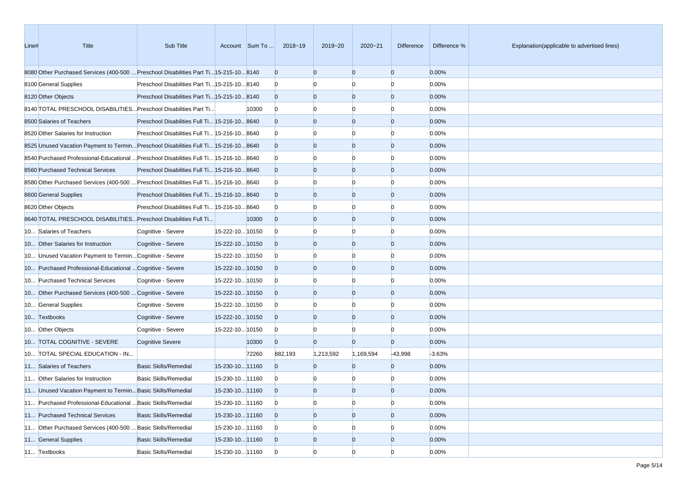| Line# | Title                                                                                  | Sub Title                                     |                 | Account Sum To | 2018~19        | 2019~20        | 2020~21        | Difference     | Difference % | Explanation(applicable to advertised lines) |
|-------|----------------------------------------------------------------------------------------|-----------------------------------------------|-----------------|----------------|----------------|----------------|----------------|----------------|--------------|---------------------------------------------|
|       | 8080 Other Purchased Services (400-500  Preschool Disabilities Part Ti15-215-10 8140   |                                               |                 |                | $\mathbf{0}$   | $\overline{0}$ | $\overline{0}$ | $\mathbf{0}$   | 0.00%        |                                             |
|       | 8100 General Supplies                                                                  | Preschool Disabilities Part Ti 15-215-10 8140 |                 |                | $\mathbf{0}$   | n              |                | n              | 0.00%        |                                             |
|       | 8120 Other Objects                                                                     | Preschool Disabilities Part Ti 15-215-10 8140 |                 |                | $\overline{0}$ | $\overline{0}$ | $\overline{0}$ | $\mathbf{0}$   | 0.00%        |                                             |
|       | 8140 TOTAL PRESCHOOL DISABILITIES Preschool Disabilities Part Ti                       |                                               |                 | 10300          | $\mathbf{0}$   | $\Omega$       | n              | n              | 0.00%        |                                             |
|       | 8500 Salaries of Teachers                                                              | Preschool Disabilities Full Ti 15-216-10 8640 |                 |                | $\mathbf{0}$   | $\overline{0}$ | $\overline{0}$ | $\mathbf{0}$   | 0.00%        |                                             |
|       | 8520 Other Salaries for Instruction                                                    | Preschool Disabilities Full Ti 15-216-10 8640 |                 |                | $\mathbf{0}$   | $\Omega$       | $\Omega$       | $\Omega$       | 0.00%        |                                             |
|       | 8525 Unused Vacation Payment to Termin Preschool Disabilities Full Ti 15-216-10 8640   |                                               |                 |                | $\overline{0}$ | $\overline{0}$ | $\overline{0}$ | $\mathbf{0}$   | 0.00%        |                                             |
|       | 8640 Purchased Professional-Educational  Preschool Disabilities Full Ti 15-216-10 8640 |                                               |                 |                | $\bf{0}$       | n              | n              | n              | 0.00%        |                                             |
|       | 8560 Purchased Technical Services                                                      | Preschool Disabilities Full Ti 15-216-10 8640 |                 |                | $\overline{0}$ | $\overline{0}$ | $\overline{0}$ | $\mathbf{0}$   | 0.00%        |                                             |
|       | 8680 Other Purchased Services (400-500  Preschool Disabilities Full Ti 15-216-10 8640  |                                               |                 |                | $\mathbf{0}$   | n              |                | n              | 0.00%        |                                             |
|       | 8600 General Supplies                                                                  | Preschool Disabilities Full Ti 15-216-10 8640 |                 |                | $\overline{0}$ | $\overline{0}$ | $\overline{0}$ | $\mathbf{0}$   | 0.00%        |                                             |
|       | 8620 Other Objects                                                                     | Preschool Disabilities Full Ti 15-216-10 8640 |                 |                | $\bf{0}$       | $\Omega$       | n              | n              | 0.00%        |                                             |
|       | 8640 TOTAL PRESCHOOL DISABILITIES Preschool Disabilities Full Ti                       |                                               |                 | 10300          | $\mathbf{0}$   | $\overline{0}$ | $\overline{0}$ | $\mathbf{0}$   | 0.00%        |                                             |
|       | 10 Salaries of Teachers                                                                | Cognitive - Severe                            | 15-222-10 10150 |                | $\bf{0}$       | $\Omega$       | $\Omega$       | n              | 0.00%        |                                             |
|       | 10 Other Salaries for Instruction                                                      | Cognitive - Severe                            | 15-222-1010150  |                | $\overline{0}$ | $\overline{0}$ | $\overline{0}$ | $\mathbf{0}$   | 0.00%        |                                             |
|       | 10 Unused Vacation Payment to Termin Cognitive - Severe                                |                                               | 15-222-10 10150 |                | $\bf{0}$       | n              | n              | n              | 0.00%        |                                             |
|       | 10 Purchased Professional-Educational  Cognitive - Severe                              |                                               | 15-222-10 10150 |                | $\overline{0}$ | $\overline{0}$ | $\overline{0}$ | $\mathbf{0}$   | 0.00%        |                                             |
|       | 10 Purchased Technical Services                                                        | Cognitive - Severe                            | 15-222-10 10150 |                | $\bf{0}$       | n              |                | n              | 0.00%        |                                             |
|       | 10 Other Purchased Services (400-500  Cognitive - Severe                               |                                               | 15-222-10 10150 |                | $\overline{0}$ | $\overline{0}$ | $\overline{0}$ | $\mathbf{0}$   | 0.00%        |                                             |
|       | 10 General Supplies                                                                    | Cognitive - Severe                            | 15-222-10 10150 |                | $\bf{0}$       | $\Omega$       | n              | $\Omega$       | 0.00%        |                                             |
|       | 10 Textbooks                                                                           | Cognitive - Severe                            | 15-222-10 10150 |                | $\overline{0}$ | $\overline{0}$ | $\overline{0}$ | $\mathbf{0}$   | 0.00%        |                                             |
|       | 10 Other Objects                                                                       | Cognitive - Severe                            | 15-222-10 10150 |                | $\bf{0}$       | $\Omega$       |                | $\Omega$       | 0.00%        |                                             |
|       | 10 TOTAL COGNITIVE - SEVERE                                                            | <b>Cognitive Severe</b>                       |                 | 10300          | $\overline{0}$ | $\overline{0}$ | $\Omega$       | $\mathbf{0}$   | 0.00%        |                                             |
|       | 10 TOTAL SPECIAL EDUCATION - IN                                                        |                                               |                 | 72260          | 882,193        | 1,213,592      | 1,169,594      | $-43,998$      | $-3.63%$     |                                             |
|       | 11 Salaries of Teachers                                                                | <b>Basic Skills/Remedial</b>                  | 15-230-10 11160 |                | $\Omega$       | $\Omega$       | $\Omega$       | $\overline{0}$ | 0.00%        |                                             |
|       | 11 Other Salaries for Instruction                                                      | <b>Basic Skills/Remedial</b>                  | 15-230-10 11160 |                | $\bf{0}$       | n              |                | n              | 0.00%        |                                             |
|       | 11 Unused Vacation Payment to Termin Basic Skills/Remedial                             |                                               | 15-230-10 11160 |                | $\Omega$       | $\Omega$       | $\Omega$       | $\Omega$       | 0.00%        |                                             |
|       | 11 Purchased Professional-Educational  Basic Skills/Remedial                           |                                               | 15-230-10 11160 |                | $\overline{0}$ | $\overline{0}$ | $\overline{0}$ | $\overline{0}$ | 0.00%        |                                             |
|       | 11 Purchased Technical Services                                                        | <b>Basic Skills/Remedial</b>                  | 15-230-10 11160 |                | $\overline{0}$ | $\mathbf{0}$   | $\overline{0}$ | $\overline{0}$ | 0.00%        |                                             |
|       | 11 Other Purchased Services (400-500  Basic Skills/Remedial                            |                                               | 15-230-10 11160 |                | $\bf{0}$       | $\overline{0}$ |                | $\Omega$       | 0.00%        |                                             |
|       | 11 General Supplies                                                                    | <b>Basic Skills/Remedial</b>                  | 15-230-10 11160 |                | $\overline{0}$ | $\mathbf{0}$   | $\mathbf{0}$   | $\overline{0}$ | 0.00%        |                                             |
|       | 11 Textbooks                                                                           | <b>Basic Skills/Remedial</b>                  | 15-230-10 11160 |                | $\overline{0}$ | $\overline{0}$ | $\Omega$       | $\Omega$       | 0.00%        |                                             |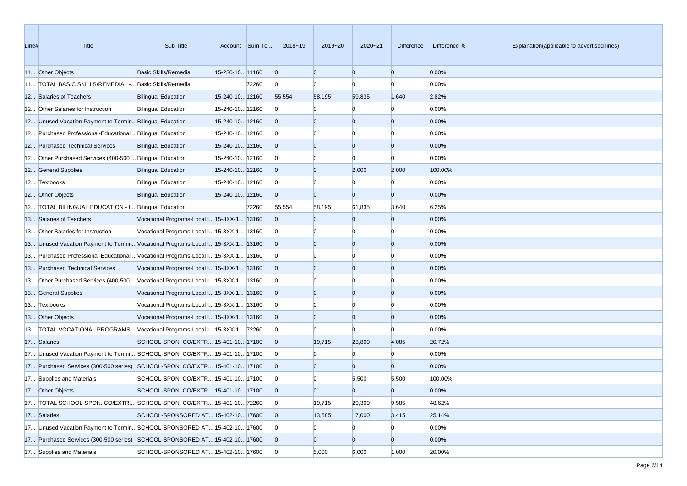| Line# | <b>Title</b>                                                                      | Sub Title                                  |                 | Account Sum To | 2018~19        | 2019~20        | 2020~21        | <b>Difference</b> | Difference % | Explanation(applicable to advertised lines) |
|-------|-----------------------------------------------------------------------------------|--------------------------------------------|-----------------|----------------|----------------|----------------|----------------|-------------------|--------------|---------------------------------------------|
|       | 11 Other Objects                                                                  | <b>Basic Skills/Remedial</b>               | 15-230-10 11160 |                | $\overline{0}$ | $\overline{0}$ | $\overline{0}$ | $\overline{0}$    | 0.00%        |                                             |
|       | 11 TOTAL BASIC SKILLS/REMEDIAL - Basic Skills/Remedial                            |                                            |                 | 72260          | $\overline{0}$ | $\Omega$       | $\Omega$       | $\Omega$          | 0.00%        |                                             |
|       | 12 Salaries of Teachers                                                           | <b>Bilingual Education</b>                 | 15-240-10 12160 |                | 55,554         | 58,195         | 59,835         | 1,640             | 2.82%        |                                             |
|       | 12 Other Salaries for Instruction                                                 | <b>Bilingual Education</b>                 | 15-240-10 12160 |                | $\overline{0}$ |                | $\Omega$       | $\Omega$          | 0.00%        |                                             |
|       | 12 Unused Vacation Payment to Termin Bilingual Education                          |                                            | 15-240-10 12160 |                | $\overline{0}$ | $\Omega$       | $\overline{0}$ | $\overline{0}$    | 0.00%        |                                             |
|       | 12 Purchased Professional-Educational  Bilingual Education                        |                                            | 15-240-10 12160 |                | $\overline{0}$ |                | $\Omega$       | $\Omega$          | 0.00%        |                                             |
|       | 12 Purchased Technical Services                                                   | <b>Bilingual Education</b>                 | 15-240-10 12160 |                | $\overline{0}$ | $\Omega$       | $\overline{0}$ | $\overline{0}$    | 0.00%        |                                             |
|       | 12 Other Purchased Services (400-500  Bilingual Education                         |                                            | 15-240-10 12160 |                | $\overline{0}$ |                | $\Omega$       | $\Omega$          | 0.00%        |                                             |
|       | 12 General Supplies                                                               | <b>Bilingual Education</b>                 | 15-240-10 12160 |                | $\overline{0}$ | $\Omega$       | 2,000          | 2,000             | 100.00%      |                                             |
|       | 12 Textbooks                                                                      | <b>Bilingual Education</b>                 | 15-240-10 12160 |                | $\overline{0}$ |                |                | $\Omega$          | 0.00%        |                                             |
|       | 12 Other Objects                                                                  | <b>Bilingual Education</b>                 | 15-240-10 12160 |                | $\overline{0}$ | $\Omega$       | $\overline{0}$ | $\overline{0}$    | 0.00%        |                                             |
|       | 12 TOTAL BILINGUAL EDUCATION - I Bilingual Education                              |                                            |                 | 72260          | 55,554         | 58,195         | 61,835         | 3,640             | 6.25%        |                                             |
|       | 13 Salaries of Teachers                                                           | Vocational Programs-Local I 15-3XX-1 13160 |                 |                | $\overline{0}$ | $\Omega$       | $\overline{0}$ | $\overline{0}$    | 0.00%        |                                             |
|       | 13 Other Salaries for Instruction                                                 | Vocational Programs-Local I 15-3XX-1 13160 |                 |                | $\overline{0}$ | $\Omega$       | $\Omega$       | $\Omega$          | 0.00%        |                                             |
|       | 13 Unused Vacation Payment to TerminVocational Programs-Local I 15-3XX-1 13160    |                                            |                 |                | $\overline{0}$ | $\Omega$       | $\overline{0}$ | $\overline{0}$    | 0.00%        |                                             |
|       | 13 Purchased Professional-Educational  Vocational Programs-Local I 15-3XX-1 13160 |                                            |                 |                | $\overline{0}$ |                |                | $\Omega$          | 0.00%        |                                             |
|       | 13 Purchased Technical Services                                                   | Vocational Programs-Local I 15-3XX-1 13160 |                 |                | $\overline{0}$ | $\Omega$       | $\overline{0}$ | $\overline{0}$    | 0.00%        |                                             |
|       | 13 Other Purchased Services (400-500  Vocational Programs-Local I 15-3XX-1 13160  |                                            |                 |                | $\overline{0}$ |                | $\Omega$       | $\Omega$          | 0.00%        |                                             |
|       | 13 General Supplies                                                               | Vocational Programs-Local I 15-3XX-1 13160 |                 |                | $\overline{0}$ | $\Omega$       | $\overline{0}$ | $\overline{0}$    | 0.00%        |                                             |
|       | 13 Textbooks                                                                      | Vocational Programs-Local I 15-3XX-1 13160 |                 |                | $\overline{0}$ | $\Omega$       | $\Omega$       | $\Omega$          | 0.00%        |                                             |
|       | 13 Other Objects                                                                  | Vocational Programs-Local I 15-3XX-1 13160 |                 |                | $\overline{0}$ | $\Omega$       | $\overline{0}$ | $\overline{0}$    | 0.00%        |                                             |
|       | 13 TOTAL VOCATIONAL PROGRAMS  Vocational Programs-Local I 15-3XX-1 72260          |                                            |                 |                | $\overline{0}$ |                | $\Omega$       | n                 | 0.00%        |                                             |
|       | 17 Salaries                                                                       | SCHOOL-SPON. CO/EXTR 15-401-10 17100       |                 |                | $\overline{0}$ | 19,715         | 23,800         | 4,085             | 20.72%       |                                             |
|       | 17 Unused Vacation Payment to TerminSCHOOL-SPON. CO/EXTR 15-401-10 17100          |                                            |                 |                | $\overline{0}$ |                | $\Omega$       | $\Omega$          | 0.00%        |                                             |
|       | 17 Purchased Services (300-500 series) SCHOOL-SPON. CO/EXTR 15-401-10 17100       |                                            |                 |                | $\overline{0}$ | $\Omega$       | $\overline{0}$ | $\overline{0}$    | 0.00%        |                                             |
|       | 17 Supplies and Materials                                                         | SCHOOL-SPON. CO/EXTR 15-401-10 17100       |                 |                | $\overline{0}$ |                | 5,500          | 5,500             | 100.00%      |                                             |
|       | 17 Other Objects                                                                  | SCHOOL-SPON. CO/EXTR 15-401-10 17100       |                 |                | $\Omega$       | $\Omega$       | $\Omega$       | $\overline{0}$    | 0.00%        |                                             |
|       | 17 TOTAL SCHOOL-SPON. CO/EXTR SCHOOL-SPON. CO/EXTR 15-401-10 72260                |                                            |                 |                | $\overline{0}$ | 19,715         | 29,300         | 9,585             | 48.62%       |                                             |
|       | 17 Salaries                                                                       | SCHOOL-SPONSORED AT 15-402-10 17600        |                 |                | $\overline{0}$ | 13,585         | 17,000         | 3,415             | 25.14%       |                                             |
|       | 17 Unused Vacation Payment to TerminSCHOOL-SPONSORED AT 15-402-10 17600           |                                            |                 |                | $\overline{0}$ | $\Omega$       | $\overline{0}$ | $\overline{0}$    | 0.00%        |                                             |
|       | 17 Purchased Services (300-500 series) SCHOOL-SPONSORED AT 15-402-10 17600        |                                            |                 |                | $\overline{0}$ | $\mathbf{0}$   | $\overline{0}$ | $\overline{0}$    | 0.00%        |                                             |
|       | 17 Supplies and Materials                                                         | SCHOOL-SPONSORED AT 15-402-10 17600        |                 |                | $\overline{0}$ | 5,000          | 6,000          | 1,000             | 20.00%       |                                             |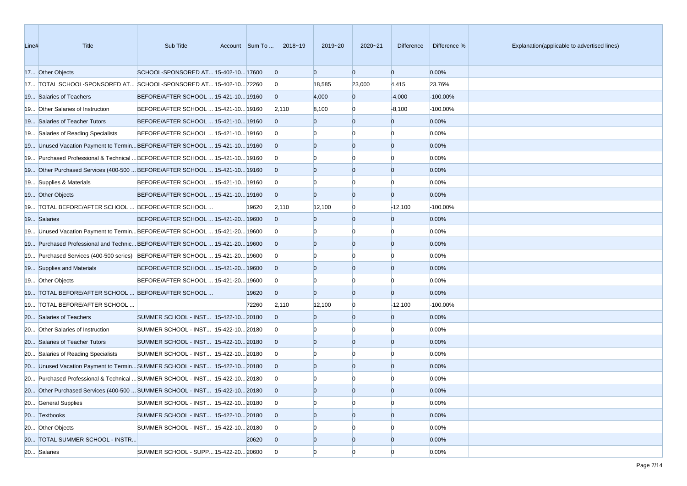| Line# | Title                                                                        | Sub Title                             | Account Sum To | 2018~19        | 2019~20        | 2020~21        | Difference     | Difference % | Explanation(applicable to advertised lines) |
|-------|------------------------------------------------------------------------------|---------------------------------------|----------------|----------------|----------------|----------------|----------------|--------------|---------------------------------------------|
|       | 17 Other Objects                                                             | SCHOOL-SPONSORED AT 15-402-10 17600   |                | $\overline{0}$ | $\overline{0}$ | $\overline{0}$ | $\mathbf{0}$   | 0.00%        |                                             |
|       | 17 TOTAL SCHOOL-SPONSORED AT SCHOOL-SPONSORED AT 15-402-10 72260             |                                       |                | $\mathbf{0}$   | 18,585         | 23,000         | 4,415          | 23.76%       |                                             |
|       | 19 Salaries of Teachers                                                      | BEFORE/AFTER SCHOOL  15-421-10 19160  |                | $\overline{0}$ | 4,000          | $\overline{0}$ | $-4,000$       | $-100.00\%$  |                                             |
|       | 19 Other Salaries of Instruction                                             | BEFORE/AFTER SCHOOL  15-421-10 19160  |                | 2,110          | 8,100          | $\Omega$       | $-8,100$       | -100.00%     |                                             |
|       | 19 Salaries of Teacher Tutors                                                | BEFORE/AFTER SCHOOL  15-421-10 19160  |                | $\overline{0}$ | $\Omega$       | $\Omega$       | $\mathbf{0}$   | 0.00%        |                                             |
|       | 19 Salaries of Reading Specialists                                           | BEFORE/AFTER SCHOOL  15-421-10 19160  |                | $\overline{0}$ | $\Omega$       |                | $\Omega$       | 0.00%        |                                             |
|       | 19 Unused Vacation Payment to TerminBEFORE/AFTER SCHOOL  15-421-10 19160     |                                       |                | $\overline{0}$ | $\overline{0}$ | $\overline{0}$ | $\mathbf{0}$   | 0.00%        |                                             |
|       | 19 Purchased Professional & Technical  BEFORE/AFTER SCHOOL  15-421-10 19160  |                                       |                | $\overline{0}$ |                |                | $\Omega$       | 0.00%        |                                             |
|       | 19 Other Purchased Services (400-500  BEFORE/AFTER SCHOOL  15-421-10 19160   |                                       |                | $\overline{0}$ | $\mathbf{0}$   | $\overline{0}$ | $\mathbf{0}$   | 0.00%        |                                             |
|       | 19 Supplies & Materials                                                      | BEFORE/AFTER SCHOOL  15-421-10 19160  |                | $\overline{0}$ | $\Omega$       | $\Omega$       | $\Omega$       | 0.00%        |                                             |
|       | 19 Other Objects                                                             | BEFORE/AFTER SCHOOL  15-421-10 19160  |                | $\overline{0}$ | $\overline{0}$ | $\overline{0}$ | $\mathbf{0}$   | 0.00%        |                                             |
|       | 19 TOTAL BEFORE/AFTER SCHOOL  BEFORE/AFTER SCHOOL                            |                                       | 19620          | 2,110          | 12,100         | $\Omega$       | $-12,100$      | $-100.00%$   |                                             |
|       | 19 Salaries                                                                  | BEFORE/AFTER SCHOOL  15-421-20 19600  |                | $\Omega$       | $\Omega$       | $\Omega$       | $\mathbf{0}$   | 0.00%        |                                             |
|       | 19 Unused Vacation Payment to TerminBEFORE/AFTER SCHOOL  15-421-2019600      |                                       |                | $\overline{0}$ | $\Omega$       |                | $\Omega$       | 0.00%        |                                             |
|       | 19 Purchased Professional and Technic BEFORE/AFTER SCHOOL  15-421-20 19600   |                                       |                | $\overline{0}$ | $\overline{0}$ | $\Omega$       | $\mathbf{0}$   | 0.00%        |                                             |
|       | 19 Purchased Services (400-500 series) BEFORE/AFTER SCHOOL  15-421-20 19600  |                                       |                | $\overline{0}$ |                |                | $\Omega$       | 0.00%        |                                             |
|       | 19 Supplies and Materials                                                    | BEFORE/AFTER SCHOOL  15-421-20 19600  |                | $\overline{0}$ | $\overline{0}$ | $\Omega$       | $\mathbf{0}$   | 0.00%        |                                             |
|       | 19 Other Objects                                                             | BEFORE/AFTER SCHOOL  15-421-20 19600  |                | $\mathbf{0}$   | $\Omega$       | $\Omega$       | $\Omega$       | 0.00%        |                                             |
|       | 19 TOTAL BEFORE/AFTER SCHOOL  BEFORE/AFTER SCHOOL                            |                                       | 19620          | $\overline{0}$ | $\Omega$       | $\overline{0}$ | $\mathbf{0}$   | 0.00%        |                                             |
|       | 19 TOTAL BEFORE/AFTER SCHOOL                                                 |                                       | 72260          | 2,110          | 12,100         | $\Omega$       | $-12,100$      | $-100.00%$   |                                             |
|       | 20 Salaries of Teachers                                                      | SUMMER SCHOOL - INST 15-422-10 20180  |                | $\Omega$       | $\Omega$       | $\Omega$       | $\mathbf{0}$   | 0.00%        |                                             |
|       | 20 Other Salaries of Instruction                                             | SUMMER SCHOOL - INST  15-422-10 20180 |                | $\overline{0}$ | $\Omega$       |                | $\Omega$       | 0.00%        |                                             |
|       | 20 Salaries of Teacher Tutors                                                | SUMMER SCHOOL - INST 15-422-10 20180  |                | $\overline{0}$ | $\overline{0}$ | $\Omega$       | $\mathbf{0}$   | 0.00%        |                                             |
|       | 20 Salaries of Reading Specialists                                           | SUMMER SCHOOL - INST 15-422-10 20180  |                | $\overline{0}$ |                | $\Omega$       | $\Omega$       | 0.00%        |                                             |
|       | 20 Unused Vacation Payment to TerminSUMMER SCHOOL - INST 15-422-1020180      |                                       |                | $\overline{0}$ | $\overline{0}$ | $\overline{0}$ | $\mathbf{0}$   | 0.00%        |                                             |
|       | 20 Purchased Professional & Technical  SUMMER SCHOOL - INST  15-422-10 20180 |                                       |                | $\mathbf{0}$   |                |                | $\Omega$       | 0.00%        |                                             |
|       | 20 Other Purchased Services (400-500  SUMMER SCHOOL - INST 15-422-10 20180   |                                       |                | $\overline{0}$ | $\Omega$       | $\Omega$       | $\Omega$       | 0.00%        |                                             |
|       | 20 General Supplies                                                          | SUMMER SCHOOL - INST 15-422-10 20180  |                | $\overline{0}$ | $\overline{0}$ | $\Omega$       | $\overline{0}$ | 0.00%        |                                             |
|       | 20 Textbooks                                                                 | SUMMER SCHOOL - INST 15-422-10 20180  |                | $\overline{0}$ | $\overline{0}$ | $\overline{0}$ | $\overline{0}$ | 0.00%        |                                             |
|       | 20 Other Objects                                                             | SUMMER SCHOOL - INST  15-422-10 20180 |                | $\mathbf{0}$   | $\overline{0}$ | $\Omega$       | $\Omega$       | 0.00%        |                                             |
|       | 20 TOTAL SUMMER SCHOOL - INSTR                                               |                                       | 20620          | $\overline{0}$ | $\mathbf{0}$   | $\overline{0}$ | $\overline{0}$ | 0.00%        |                                             |
|       | 20 Salaries                                                                  | SUMMER SCHOOL - SUPP 15-422-20 20600  |                | $\overline{0}$ | $\overline{0}$ | $\Omega$       | $\Omega$       | 0.00%        |                                             |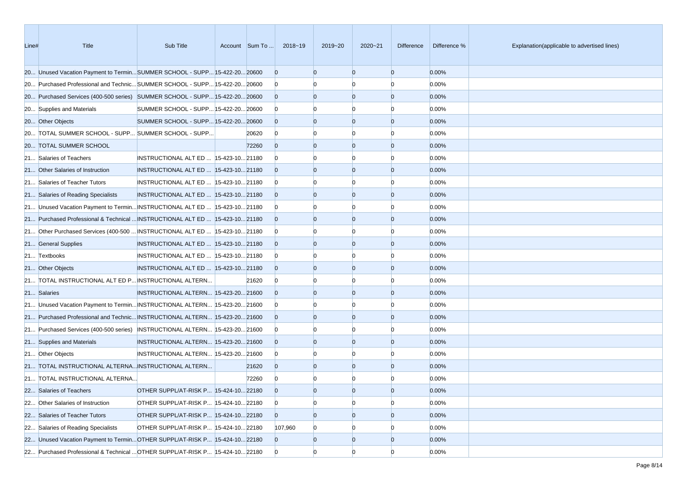| Line# | Title                                                                         | Sub Title                              | Account Sum To | 2018~19        | 2019~20        | $2020 - 21$    | <b>Difference</b> | Difference % | Explanation(applicable to advertised lines) |
|-------|-------------------------------------------------------------------------------|----------------------------------------|----------------|----------------|----------------|----------------|-------------------|--------------|---------------------------------------------|
|       | 20 Unused Vacation Payment to TerminSUMMER SCHOOL - SUPP 15-422-20 20600      |                                        |                | $\overline{0}$ | $\overline{0}$ | $\overline{0}$ | $\overline{0}$    | 0.00%        |                                             |
|       | 20 Purchased Professional and Technic SUMMER SCHOOL - SUPP 15-422-20 20600    |                                        |                | $\overline{0}$ | n              | n              | $\Omega$          | 0.00%        |                                             |
|       | 20 Purchased Services (400-500 series) SUMMER SCHOOL - SUPP 15-422-20 20600   |                                        |                | $\Omega$       | $\overline{0}$ | $\overline{0}$ | $\overline{0}$    | 0.00%        |                                             |
|       | 20 Supplies and Materials                                                     | SUMMER SCHOOL - SUPP 15-422-20 20600   |                | $\overline{0}$ |                |                | n                 | 0.00%        |                                             |
|       | 20 Other Objects                                                              | SUMMER SCHOOL - SUPP 15-422-20 20600   |                | $\Omega$       | $\Omega$       | $\Omega$       | $\overline{0}$    | 0.00%        |                                             |
|       | 20 TOTAL SUMMER SCHOOL - SUPP SUMMER SCHOOL - SUPP                            |                                        | 20620          | $\overline{0}$ | $\Omega$       | $\Omega$       | $\Omega$          | 0.00%        |                                             |
|       | 20 TOTAL SUMMER SCHOOL                                                        |                                        | 72260          | $\Omega$       | $\overline{0}$ | $\overline{0}$ | $\overline{0}$    | 0.00%        |                                             |
|       | 21 Salaries of Teachers                                                       | INSTRUCTIONAL ALT ED   15-423-10 21180 |                | $\Omega$       |                | n              | n                 | 0.00%        |                                             |
|       | 21 Other Salaries of Instruction                                              | INSTRUCTIONAL ALT ED  15-423-10 21180  |                | $\Omega$       | $\Omega$       | $\overline{0}$ | $\overline{0}$    | 0.00%        |                                             |
|       | 21 Salaries of Teacher Tutors                                                 | INSTRUCTIONAL ALT ED  15-423-10 21180  |                | $\overline{0}$ |                | n              | $\Omega$          | 0.00%        |                                             |
|       | 21 Salaries of Reading Specialists                                            | INSTRUCTIONAL ALT ED  15-423-10 21180  |                | $\Omega$       | $\Omega$       | $\Omega$       | $\overline{0}$    | 0.00%        |                                             |
|       | 21 Unused Vacation Payment to Termin INSTRUCTIONAL ALT ED  15-423-10 21180    |                                        |                | $\overline{0}$ |                | n              | n                 | 0.00%        |                                             |
|       | 21 Purchased Professional & Technical  INSTRUCTIONAL ALT ED   15-423-10 21180 |                                        |                | $\overline{0}$ | $\Omega$       | $\Omega$       | $\overline{0}$    | 0.00%        |                                             |
|       | 21 Other Purchased Services (400-500  INSTRUCTIONAL ALT ED   15-423-10 21180  |                                        |                | $\overline{0}$ | n              | n              | $\Omega$          | 0.00%        |                                             |
|       | 21 General Supplies                                                           | INSTRUCTIONAL ALT ED  15-423-10 21180  |                | $\Omega$       | $\overline{0}$ | $\Omega$       | $\overline{0}$    | 0.00%        |                                             |
|       | 21 Textbooks                                                                  | INSTRUCTIONAL ALT ED  15-423-10 21180  |                | $\overline{0}$ |                |                | n                 | 0.00%        |                                             |
|       | 21 Other Objects                                                              | INSTRUCTIONAL ALT ED  15-423-10 21180  |                | $\Omega$       | $\Omega$       | $\Omega$       | $\overline{0}$    | 0.00%        |                                             |
|       | 21 TOTAL INSTRUCTIONAL ALT ED P INSTRUCTIONAL ALTERN                          |                                        | 21620          | $\bf{0}$       | $\Omega$       | n              | $\Omega$          | 0.00%        |                                             |
|       | 21 Salaries                                                                   | INSTRUCTIONAL ALTERN 15-423-20 21600   |                | $\Omega$       | $\overline{0}$ | $\overline{0}$ | $\overline{0}$    | 0.00%        |                                             |
|       | 21 Unused Vacation Payment to Termin INSTRUCTIONAL ALTERN 15-423-20 21600     |                                        |                | $\overline{0}$ | n              | n              | 0                 | 0.00%        |                                             |
|       | 21 Purchased Professional and Technic INSTRUCTIONAL ALTERN 15-423-20 21600    |                                        |                | $\Omega$       | $\Omega$       | $\overline{0}$ | $\overline{0}$    | 0.00%        |                                             |
|       | 21 Purchased Services (400-500 series) INSTRUCTIONAL ALTERN 15-423-20 21600   |                                        |                | $\overline{0}$ |                | n              | n                 | 0.00%        |                                             |
|       | 21 Supplies and Materials                                                     | INSTRUCTIONAL ALTERN 15-423-20 21600   |                | $\Omega$       | $\overline{0}$ | $\Omega$       | $\overline{0}$    | 0.00%        |                                             |
|       | 21 Other Objects                                                              | INSTRUCTIONAL ALTERN 15-423-20 21600   |                | $\overline{0}$ | $\Omega$       | n              | n                 | 0.00%        |                                             |
|       | 21 TOTAL INSTRUCTIONAL ALTERNA INSTRUCTIONAL ALTERN                           |                                        | 21620          | $\Omega$       | $\overline{0}$ | $\overline{0}$ | $\mathbf{0}$      | 0.00%        |                                             |
|       | 21 TOTAL INSTRUCTIONAL ALTERNA                                                |                                        | 72260          | $\mathbf{0}$   |                |                | n                 | 0.00%        |                                             |
|       | 22 Salaries of Teachers                                                       | OTHER SUPPL/AT-RISK P 15-424-10 22180  |                | $\Omega$       | $\overline{0}$ | $\Omega$       | $\Omega$          | 0.00%        |                                             |
|       | 22 Other Salaries of Instruction                                              | OTHER SUPPL/AT-RISK P 15-424-10 22180  |                | $\overline{0}$ | $\overline{0}$ | $\overline{0}$ | $\overline{0}$    | 0.00%        |                                             |
|       | 22 Salaries of Teacher Tutors                                                 | OTHER SUPPL/AT-RISK P 15-424-10 22180  |                | $\overline{0}$ | $\overline{0}$ | $\overline{0}$ | $\overline{0}$    | 0.00%        |                                             |
|       | 22 Salaries of Reading Specialists                                            | OTHER SUPPL/AT-RISK P 15-424-10 22180  |                | 107,960        | $\overline{0}$ | $\Omega$       | O                 | 0.00%        |                                             |
|       | 22 Unused Vacation Payment to TerminOTHER SUPPL/AT-RISK P 15-424-1022180      |                                        |                | $\overline{0}$ | $\overline{0}$ | $\overline{0}$ | $\overline{0}$    | 0.00%        |                                             |
|       | 22 Purchased Professional & Technical  OTHER SUPPL/AT-RISK P 15-424-10 22180  |                                        |                | $\overline{0}$ | $\overline{0}$ | $\overline{0}$ | $\overline{0}$    | 0.00%        |                                             |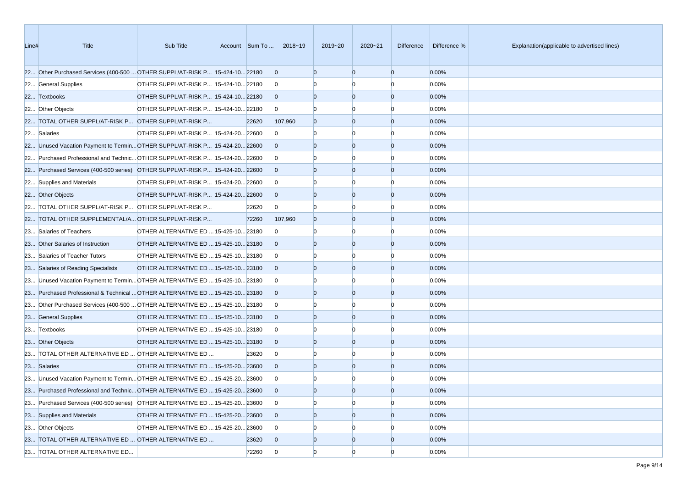| Line# | <b>Title</b>                                                                 | Sub Title                             | Account Sum To | 2018~19        | 2019~20        | $2020 - 21$    | Difference     | Difference % | Explanation(applicable to advertised lines) |
|-------|------------------------------------------------------------------------------|---------------------------------------|----------------|----------------|----------------|----------------|----------------|--------------|---------------------------------------------|
|       | 22 Other Purchased Services (400-500  OTHER SUPPL/AT-RISK P 15-424-10 22180  |                                       |                | $\overline{0}$ | $\Omega$       | $\overline{0}$ | $\overline{0}$ | 0.00%        |                                             |
|       | 22 General Supplies                                                          | OTHER SUPPL/AT-RISK P 15-424-10 22180 |                | $\overline{0}$ |                | $\Omega$       | $\Omega$       | 0.00%        |                                             |
|       | 22 Textbooks                                                                 | OTHER SUPPL/AT-RISK P 15-424-10 22180 |                | $\overline{0}$ | $\Omega$       | $\overline{0}$ | $\overline{0}$ | 0.00%        |                                             |
|       | 22 Other Objects                                                             | OTHER SUPPL/AT-RISK P 15-424-10 22180 |                | $\overline{0}$ |                |                | n              | 0.00%        |                                             |
|       | 22 TOTAL OTHER SUPPL/AT-RISK P OTHER SUPPL/AT-RISK P                         |                                       | 22620          | 107,960        | $\Omega$       | $\overline{0}$ | $\overline{0}$ | 0.00%        |                                             |
|       | 22 Salaries                                                                  | OTHER SUPPL/AT-RISK P 15-424-20 22600 |                | $\overline{0}$ |                | $\Omega$       | n              | 0.00%        |                                             |
|       | 22 Unused Vacation Payment to TerminOTHER SUPPL/AT-RISK P 15-424-2022600     |                                       |                | $\overline{0}$ | $\Omega$       | $\overline{0}$ | $\overline{0}$ | 0.00%        |                                             |
|       | 22 Purchased Professional and Technic OTHER SUPPL/AT-RISK P 15-424-20 22600  |                                       |                | $\overline{0}$ |                | $\Omega$       | n              | 0.00%        |                                             |
|       | 22 Purchased Services (400-500 series) OTHER SUPPL/AT-RISK P 15-424-20 22600 |                                       |                | $\overline{0}$ | $\Omega$       | $\overline{0}$ | $\overline{0}$ | 0.00%        |                                             |
|       | 22 Supplies and Materials                                                    | OTHER SUPPL/AT-RISK P 15-424-20 22600 |                | $\overline{0}$ |                | n              | n              | 0.00%        |                                             |
|       | 22 Other Objects                                                             | OTHER SUPPL/AT-RISK P 15-424-20 22600 |                | $\overline{0}$ | $\Omega$       | $\overline{0}$ | $\overline{0}$ | 0.00%        |                                             |
|       | 22 TOTAL OTHER SUPPL/AT-RISK P OTHER SUPPL/AT-RISK P                         |                                       | 22620          | $\overline{0}$ | n              | n              | n              | 0.00%        |                                             |
|       | 22 TOTAL OTHER SUPPLEMENTAL/A OTHER SUPPL/AT-RISK P                          |                                       | 72260          | 107,960        | $\Omega$       | $\overline{0}$ | $\overline{0}$ | 0.00%        |                                             |
|       | 23 Salaries of Teachers                                                      | OTHER ALTERNATIVE ED  15-425-10 23180 |                | $\Omega$       |                | $\Omega$       | n              | 0.00%        |                                             |
|       | 23 Other Salaries of Instruction                                             | OTHER ALTERNATIVE ED  15-425-10 23180 |                | $\Omega$       | $\Omega$       | $\overline{0}$ | $\overline{0}$ | 0.00%        |                                             |
|       | 23 Salaries of Teacher Tutors                                                | OTHER ALTERNATIVE ED  15-425-10 23180 |                | $\overline{0}$ |                |                | n              | 0.00%        |                                             |
|       | 23 Salaries of Reading Specialists                                           | OTHER ALTERNATIVE ED  15-425-10 23180 |                | $\overline{0}$ | $\Omega$       | $\overline{0}$ | $\overline{0}$ | 0.00%        |                                             |
|       | 23 Unused Vacation Payment to Termin OTHER ALTERNATIVE ED  15-425-10 23180   |                                       |                | $\overline{0}$ |                | $\Omega$       | n              | 0.00%        |                                             |
|       | 23 Purchased Professional & Technical  OTHER ALTERNATIVE ED  15-425-10 23180 |                                       |                | $\overline{0}$ | $\Omega$       | $\overline{0}$ | $\overline{0}$ | 0.00%        |                                             |
|       | 23 Other Purchased Services (400-500  OTHER ALTERNATIVE ED  15-425-10 23180  |                                       |                | $\overline{0}$ |                | $\Omega$       | n              | 0.00%        |                                             |
|       | 23 General Supplies                                                          | OTHER ALTERNATIVE ED  15-425-10 23180 |                | $\overline{0}$ | $\Omega$       | $\overline{0}$ | $\overline{0}$ | 0.00%        |                                             |
|       | 23 Textbooks                                                                 | OTHER ALTERNATIVE ED  15-425-10 23180 |                | $\overline{0}$ |                | n              | n              | 0.00%        |                                             |
|       | 23 Other Objects                                                             | OTHER ALTERNATIVE ED  15-425-10 23180 |                | $\overline{0}$ | $\Omega$       | $\Omega$       | $\overline{0}$ | 0.00%        |                                             |
|       | 23 TOTAL OTHER ALTERNATIVE ED  OTHER ALTERNATIVE ED                          |                                       | 23620          | $\overline{0}$ |                | $\Omega$       | n              | 0.00%        |                                             |
|       | 23 Salaries                                                                  | OTHER ALTERNATIVE ED  15-425-20 23600 |                | $\overline{0}$ | $\Omega$       | $\overline{0}$ | $\overline{0}$ | 0.00%        |                                             |
|       | 23 Unused Vacation Payment to Termin OTHER ALTERNATIVE ED  15-425-20 23600   |                                       |                | $\mathbf{0}$   |                |                |                | 0.00%        |                                             |
|       | 23 Purchased Professional and Technic OTHER ALTERNATIVE ED  15-425-20 23600  |                                       |                | $\Omega$       |                | $\Omega$       | $\Omega$       | 0.00%        |                                             |
|       | 23 Purchased Services (400-500 series) OTHER ALTERNATIVE ED  15-425-20 23600 |                                       |                | $\overline{0}$ | $\Omega$       | $\overline{0}$ | $\Omega$       | 0.00%        |                                             |
|       | 23 Supplies and Materials                                                    | OTHER ALTERNATIVE ED  15-425-20 23600 |                | $\overline{0}$ | $\overline{0}$ | $\overline{0}$ | $\overline{0}$ | 0.00%        |                                             |
|       | 23 Other Objects                                                             | OTHER ALTERNATIVE ED  15-425-20 23600 |                | $\overline{0}$ | $\Omega$       | $\Omega$       |                | 0.00%        |                                             |
|       | 23 TOTAL OTHER ALTERNATIVE ED  OTHER ALTERNATIVE ED                          |                                       | 23620          | $\overline{0}$ | $\overline{0}$ | $\overline{0}$ | $\overline{0}$ | 0.00%        |                                             |
|       | 23 TOTAL OTHER ALTERNATIVE ED                                                |                                       | 72260          | $\overline{0}$ | $\overline{0}$ | $\overline{0}$ | $\Omega$       | 0.00%        |                                             |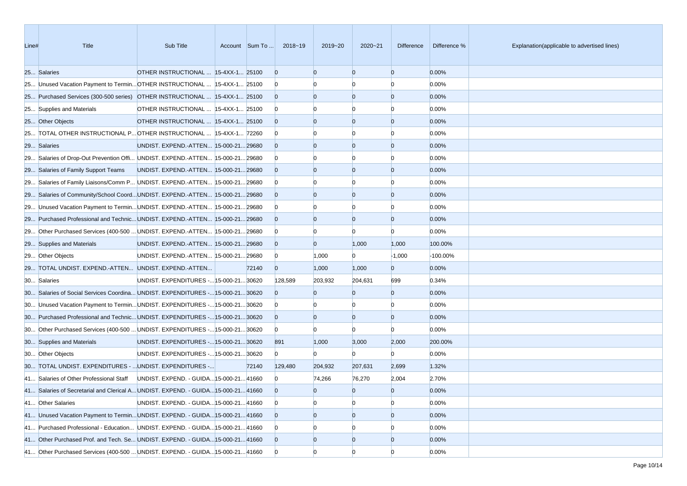| Line# | Title                                                                             | Sub Title                               | Account Sum To | 2018~19        | 2019~20        | 2020~21        | Difference     | Difference % | Explanation(applicable to advertised lines) |
|-------|-----------------------------------------------------------------------------------|-----------------------------------------|----------------|----------------|----------------|----------------|----------------|--------------|---------------------------------------------|
|       | 25 Salaries                                                                       | OTHER INSTRUCTIONAL  15-4XX-1 25100     |                | $\overline{0}$ | $\Omega$       | $\overline{0}$ | $\overline{0}$ | 0.00%        |                                             |
|       | 25 Unused Vacation Payment to Termin OTHER INSTRUCTIONAL  15-4XX-1 25100          |                                         |                | $\mathbf{0}$   |                | n              | n              | 0.00%        |                                             |
|       | 25 Purchased Services (300-500 series) OTHER INSTRUCTIONAL  15-4XX-1 25100        |                                         |                | $\overline{0}$ | $\Omega$       | $\overline{0}$ | $\overline{0}$ | 0.00%        |                                             |
|       | 25 Supplies and Materials                                                         | OTHER INSTRUCTIONAL  15-4XX-1 25100     |                | $\bf{0}$       |                | n              | n              | 0.00%        |                                             |
|       | 25 Other Objects                                                                  | OTHER INSTRUCTIONAL  15-4XX-1 25100     |                | $\overline{0}$ |                | $\overline{0}$ | $\overline{0}$ | 0.00%        |                                             |
|       | 25 TOTAL OTHER INSTRUCTIONAL P OTHER INSTRUCTIONAL  15-4XX-1 72260                |                                         |                | $\bf{0}$       |                | n              | n              | 0.00%        |                                             |
|       | 29 Salaries                                                                       | UNDIST. EXPEND.-ATTEN 15-000-21 29680   |                | $\overline{0}$ | $\Omega$       | $\overline{0}$ | $\overline{0}$ | 0.00%        |                                             |
|       | 29 Salaries of Drop-Out Prevention Offi UNDIST. EXPEND.-ATTEN 15-000-21 29680     |                                         |                | $\bf{0}$       |                |                |                | 0.00%        |                                             |
|       | 29 Salaries of Family Support Teams                                               | UNDIST. EXPEND.-ATTEN 15-000-21 29680   |                | $\overline{0}$ |                | $\overline{0}$ | $\overline{0}$ | 0.00%        |                                             |
|       | 29 Salaries of Family Liaisons/Comm P UNDIST. EXPEND.-ATTEN 15-000-21 29680       |                                         |                | $\overline{0}$ |                | n              | n              | 0.00%        |                                             |
|       | 29 Salaries of Community/School CoordUNDIST. EXPEND.-ATTEN 15-000-2129680         |                                         |                | $\overline{0}$ | $\Omega$       | $\overline{0}$ | $\overline{0}$ | 0.00%        |                                             |
|       | 29 Unused Vacation Payment to Termin UNDIST. EXPEND.-ATTEN 15-000-21 29680        |                                         |                | $\bf{0}$       |                | n              | n              | 0.00%        |                                             |
|       | 29 Purchased Professional and Technic UNDIST. EXPEND.-ATTEN 15-000-21 29680       |                                         |                | $\Omega$       |                | $\overline{0}$ | $\overline{0}$ | 0.00%        |                                             |
|       | 29 Other Purchased Services (400-500  UNDIST. EXPEND.-ATTEN  15-000-21 29680      |                                         |                | $\overline{0}$ |                | n              | n              | 0.00%        |                                             |
|       | 29 Supplies and Materials                                                         | UNDIST. EXPEND.-ATTEN 15-000-21 29680   |                | $\overline{0}$ | $\Omega$       | 1,000          | 1,000          | 100.00%      |                                             |
|       | 29 Other Objects                                                                  | UNDIST. EXPEND.-ATTEN 15-000-21 29680   |                | $\bf{0}$       | 1,000          | $\mathbf{0}$   | $-1,000$       | $-100.00%$   |                                             |
|       | 29 TOTAL UNDIST. EXPEND.-ATTEN UNDIST. EXPEND.-ATTEN                              |                                         | 72140          | $\overline{0}$ | 1,000          | 1,000          | $\overline{0}$ | 0.00%        |                                             |
|       | 30 Salaries                                                                       | UNDIST. EXPENDITURES - 15-000-21 30620  |                | 128,589        | 203,932        | 204,631        | 699            | 0.34%        |                                             |
|       | 30 Salaries of Social Services Coordina UNDIST. EXPENDITURES - 15-000-21 30620    |                                         |                | $\Omega$       | $\Omega$       | $\overline{0}$ | $\overline{0}$ | 0.00%        |                                             |
|       | 30 Unused Vacation Payment to TerminUNDIST. EXPENDITURES - 15-000-21 30620        |                                         |                | $\bf{0}$       |                |                | n              | 0.00%        |                                             |
|       | 30 Purchased Professional and Technic UNDIST. EXPENDITURES - 15-000-21 30620      |                                         |                | $\overline{0}$ | $\Omega$       | $\overline{0}$ | $\overline{0}$ | 0.00%        |                                             |
|       | 30 Other Purchased Services (400-500  UNDIST. EXPENDITURES - 15-000-21 30620      |                                         |                | $\bf{0}$       | $\Omega$       | $\Omega$       | $\Omega$       | 0.00%        |                                             |
|       | 30 Supplies and Materials                                                         | UNDIST. EXPENDITURES - 15-000-21 30620  |                | 891            | 1,000          | 3,000          | 2,000          | 200.00%      |                                             |
|       | 30 Other Objects                                                                  | UNDIST. EXPENDITURES - 15-000-21 30620  |                | $\overline{0}$ | $\mathbf{0}$   | $\Omega$       | $\Omega$       | 0.00%        |                                             |
|       | 30 TOTAL UNDIST. EXPENDITURES -  UNDIST. EXPENDITURES -                           |                                         | 72140          | 129,480        | 204,932        | 207,631        | 2,699          | 1.32%        |                                             |
|       | 41 Salaries of Other Professional Staff                                           | UNDIST. EXPEND. - GUIDA 15-000-21 41660 |                | $\overline{0}$ | 74,266         | 76,270         | 2,004          | 2.70%        |                                             |
|       | 41 Salaries of Secretarial and Clerical A UNDIST. EXPEND. - GUIDA 15-000-21 41660 |                                         |                | $\overline{0}$ | $\Omega$       | $\overline{0}$ | $\overline{0}$ | 0.00%        |                                             |
|       | 41 Other Salaries                                                                 | UNDIST. EXPEND. - GUIDA 15-000-21 41660 |                | $\overline{0}$ | $\Omega$       | $\overline{0}$ | $\overline{0}$ | 0.00%        |                                             |
|       | 41 Unused Vacation Payment to Termin UNDIST. EXPEND. - GUIDA 15-000-21 41660      |                                         |                | $\overline{0}$ | $\overline{0}$ | $\overline{0}$ | $\overline{0}$ | 0.00%        |                                             |
|       | 41 Purchased Professional - Education UNDIST. EXPEND. - GUIDA 15-000-21 41660     |                                         |                | $\overline{0}$ |                |                |                | 0.00%        |                                             |
|       | 41 Other Purchased Prof. and Tech. Se UNDIST. EXPEND. - GUIDA 15-000-21 41660     |                                         |                | $\overline{0}$ | $\overline{0}$ | $\overline{0}$ | $\overline{0}$ | 0.00%        |                                             |
|       | 41 Other Purchased Services (400-500  UNDIST. EXPEND. - GUIDA 15-000-21 41660     |                                         |                | $\overline{0}$ | $\Omega$       | $\Omega$       | n              | 0.00%        |                                             |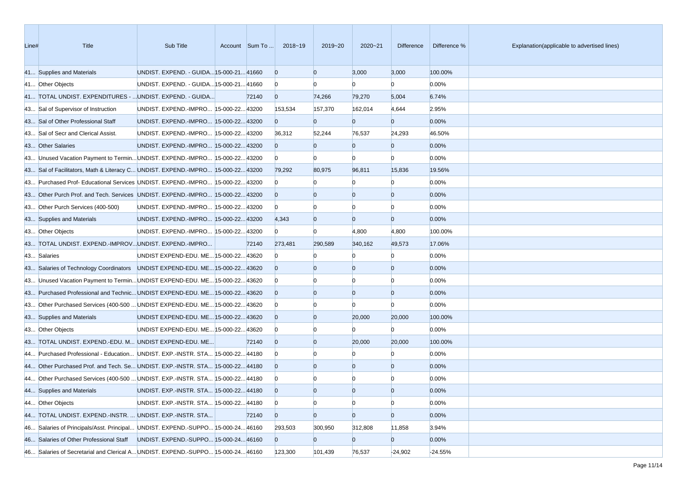| Line# | <b>Title</b>                                                                    | Sub Title                               | Account Sum To | 2018~19        | 2019~20        | $2020 - 21$    | Difference     | Difference % | Explanation(applicable to advertised lines) |
|-------|---------------------------------------------------------------------------------|-----------------------------------------|----------------|----------------|----------------|----------------|----------------|--------------|---------------------------------------------|
|       | 41 Supplies and Materials                                                       | UNDIST. EXPEND. - GUIDA 15-000-21 41660 |                | $\overline{0}$ | $\overline{0}$ | 3,000          | 3,000          | 100.00%      |                                             |
|       | 41 Other Objects                                                                | UNDIST. EXPEND. - GUIDA 15-000-21 41660 |                | $\bf{0}$       |                | n              | $\Omega$       | 0.00%        |                                             |
|       | 41 TOTAL UNDIST. EXPENDITURES -  UNDIST. EXPEND. - GUIDA                        |                                         | 72140          | $\overline{0}$ | 74,266         | 79,270         | 5,004          | 6.74%        |                                             |
|       | 43 Sal of Supervisor of Instruction                                             | UNDIST. EXPEND.-IMPRO 15-000-22 43200   |                | 153,534        | 157,370        | 162,014        | 4,644          | 2.95%        |                                             |
|       | 43 Sal of Other Professional Staff                                              | UNDIST. EXPEND.-IMPRO 15-000-22 43200   |                | $\overline{0}$ | $\Omega$       | $\overline{0}$ | $\overline{0}$ | 0.00%        |                                             |
|       | 43 Sal of Secr and Clerical Assist.                                             | UNDIST. EXPEND.-IMPRO 15-000-22 43200   |                | 36,312         | 52,244         | 76,537         | 24,293         | 46.50%       |                                             |
|       | 43 Other Salaries                                                               | UNDIST. EXPEND.-IMPRO 15-000-22 43200   |                | $\overline{0}$ | $\overline{0}$ | $\overline{0}$ | $\overline{0}$ | 0.00%        |                                             |
|       | 43 Unused Vacation Payment to Termin UNDIST. EXPEND.-IMPRO 15-000-22 43200      |                                         |                | $\bf{0}$       | $\Omega$       | $\Omega$       | $\Omega$       | 0.00%        |                                             |
|       | 43 Sal of Facilitators, Math & Literacy C UNDIST. EXPEND.-IMPRO 15-000-22 43200 |                                         |                | 79,292         | 80,975         | 96,811         | 15,836         | 19.56%       |                                             |
|       | 43 Purchased Prof- Educational Services UNDIST. EXPEND.-IMPRO 15-000-22 43200   |                                         |                | $\overline{0}$ |                | n              | $\Omega$       | 0.00%        |                                             |
|       | 43 Other Purch Prof. and Tech. Services UNDIST. EXPEND.-IMPRO 15-000-22 43200   |                                         |                | $\overline{0}$ | $\overline{0}$ | $\overline{0}$ | $\overline{0}$ | 0.00%        |                                             |
|       | 43 Other Purch Services (400-500)                                               | UNDIST. EXPEND.-IMPRO 15-000-22 43200   |                | $\overline{0}$ |                | n              | n              | 0.00%        |                                             |
|       | 43 Supplies and Materials                                                       | UNDIST. EXPEND.-IMPRO 15-000-22 43200   |                | 4,343          | $\overline{0}$ | $\overline{0}$ | $\overline{0}$ | 0.00%        |                                             |
|       | 43 Other Objects                                                                | UNDIST. EXPEND.-IMPRO 15-000-22 43200   |                | $\overline{0}$ | $\Omega$       | 4,800          | 4,800          | 100.00%      |                                             |
|       | 43 TOTAL UNDIST. EXPEND.-IMPROVUNDIST. EXPEND.-IMPRO                            |                                         | 72140          | 273,481        | 290,589        | 340,162        | 49,573         | 17.06%       |                                             |
|       | 43 Salaries                                                                     | UNDIST EXPEND-EDU. ME 15-000-22 43620   |                | $\mathbf{0}$   |                | n              | $\Omega$       | 0.00%        |                                             |
|       | 43 Salaries of Technology Coordinators   UNDIST EXPEND-EDU. ME15-000-2243620    |                                         |                | $\Omega$       |                | $\overline{0}$ | $\overline{0}$ | 0.00%        |                                             |
|       | 43 Unused Vacation Payment to Termin UNDIST EXPEND-EDU. ME 15-000-22 43620      |                                         |                | $\bf{0}$       |                | $\Omega$       | n              | 0.00%        |                                             |
|       | 43 Purchased Professional and Technic UNDIST EXPEND-EDU. ME 15-000-22 43620     |                                         |                | $\overline{0}$ | $\Omega$       | $\overline{0}$ | $\overline{0}$ | 0.00%        |                                             |
|       | 43 Other Purchased Services (400-500  UNDIST EXPEND-EDU. ME 15-000-22 43620     |                                         |                | $\bf{0}$       |                | n              | n              | 0.00%        |                                             |
|       | 43 Supplies and Materials                                                       | UNDIST EXPEND-EDU. ME 15-000-22 43620   |                | $\overline{0}$ | $\Omega$       | 20,000         | 20,000         | 100.00%      |                                             |
|       | 43 Other Objects                                                                | UNDIST EXPEND-EDU. ME 15-000-22 43620   |                | $\bf{0}$       |                | n              | $\Omega$       | 0.00%        |                                             |
|       | 43 TOTAL UNDIST. EXPEND.-EDU. M UNDIST EXPEND-EDU. ME                           |                                         | 72140          | $\overline{0}$ | $\overline{0}$ | 20,000         | 20,000         | 100.00%      |                                             |
|       | 44 Purchased Professional - Education UNDIST. EXP.-INSTR. STA 15-000-22 44180   |                                         |                | $\bf{0}$       |                |                | $\Omega$       | 0.00%        |                                             |
|       | 44 Other Purchased Prof. and Tech. Se UNDIST. EXP.-INSTR. STA 15-000-22 44180   |                                         |                | $\Omega$       | $\Omega$       | $\overline{0}$ | $\overline{0}$ | 0.00%        |                                             |
|       | 44 Other Purchased Services (400-500  UNDIST. EXP.-INSTR. STA 15-000-22 44180   |                                         |                | $\bf{0}$       |                |                |                | 0.00%        |                                             |
|       | 44 Supplies and Materials                                                       | UNDIST. EXP.-INSTR. STA 15-000-2244180  |                | $\overline{0}$ | $\Omega$       | $\Omega$       | $\Omega$       | 0.00%        |                                             |
|       | 44 Other Objects                                                                | UNDIST. EXP.-INSTR. STA 15-000-22 44180 |                | $\bf{0}$       | $\overline{0}$ | $\overline{0}$ | $\overline{0}$ | 0.00%        |                                             |
|       | 44 TOTAL UNDIST. EXPEND.-INSTR.  UNDIST. EXP.-INSTR. STA                        |                                         | 72140          | $\overline{0}$ | $\overline{0}$ | $\overline{0}$ | $\overline{0}$ | 0.00%        |                                             |
|       | 46 Salaries of Principals/Asst. Principal UNDIST. EXPEND.-SUPPO 15-000-2446160  |                                         |                | 293,503        | 300,950        | 312,808        | 11,858         | 3.94%        |                                             |
|       | 46 Salaries of Other Professional Staff UNDIST. EXPEND.-SUPPO 15-000-24 46160   |                                         |                | $\overline{0}$ | $\bf{0}$       | $\overline{0}$ | $\overline{0}$ | 0.00%        |                                             |
|       | 46 Salaries of Secretarial and Clerical A UNDIST. EXPEND.-SUPPO 15-000-2446160  |                                         |                | 123,300        | 101,439        | 76,537         | $-24,902$      | -24.55%      |                                             |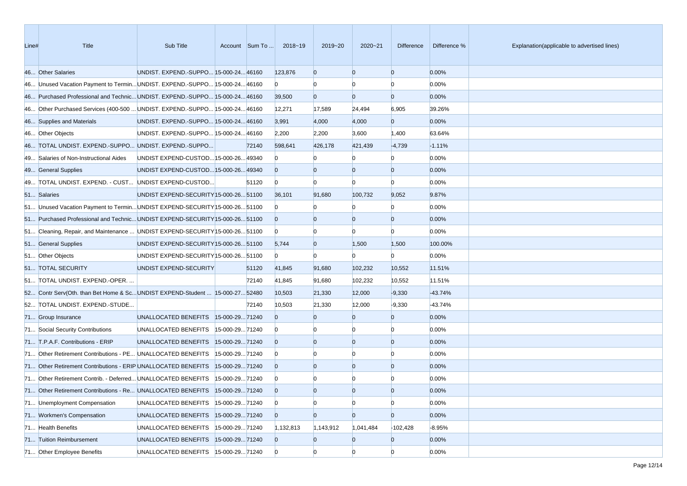| Line# | <b>Title</b>                                                                  | Sub Title                              |                |       | Account Sum To  2018~19 | 2019~20        | $2020 - 21$    | Difference     | Difference % | Explanation(applicable to advertised lines) |
|-------|-------------------------------------------------------------------------------|----------------------------------------|----------------|-------|-------------------------|----------------|----------------|----------------|--------------|---------------------------------------------|
|       | 46 Other Salaries                                                             | UNDIST. EXPEND.-SUPPO 15-000-24 46160  |                |       | 123,876                 | $\overline{0}$ | $\overline{0}$ | $\overline{0}$ | 0.00%        |                                             |
|       | 46 Unused Vacation Payment to Termin UNDIST. EXPEND.-SUPPO 15-000-24 46160    |                                        |                |       | $\overline{0}$          | $\Omega$       | $\Omega$       | $\Omega$       | 0.00%        |                                             |
|       | 46 Purchased Professional and Technic UNDIST. EXPEND.-SUPPO 15-000-24 46160   |                                        |                |       | 39,500                  | $\overline{0}$ | $\overline{0}$ | $\overline{0}$ | 0.00%        |                                             |
|       | 46 Other Purchased Services (400-500  UNDIST. EXPEND.-SUPPO 15-000-24 46160   |                                        |                |       | 12,271                  | 17,589         | 24,494         | 6,905          | 39.26%       |                                             |
|       | 46 Supplies and Materials                                                     | UNDIST. EXPEND.-SUPPO 15-000-24 46160  |                |       | 3,991                   | 4,000          | 4,000          | $\overline{0}$ | 0.00%        |                                             |
|       | 46 Other Objects                                                              | UNDIST. EXPEND.-SUPPO 15-000-24 46160  |                |       | 2,200                   | 2,200          | 3,600          | 1,400          | 63.64%       |                                             |
|       | 46 TOTAL UNDIST. EXPEND.-SUPPO UNDIST. EXPEND.-SUPPO                          |                                        |                | 72140 | 598,641                 | 426,178        | 421,439        | $-4,739$       | $-1.11%$     |                                             |
|       | 49 Salaries of Non-Instructional Aides                                        | UNDIST EXPEND-CUSTOD 15-000-26 49340   |                |       | $\mathbf{0}$            |                |                | $\Omega$       | 0.00%        |                                             |
|       | 49 General Supplies                                                           | UNDIST EXPEND-CUSTOD 15-000-26 49340   |                |       | $\overline{0}$          | $\Omega$       | $\overline{0}$ | $\overline{0}$ | 0.00%        |                                             |
|       | 49 TOTAL UNDIST. EXPEND. - CUST UNDIST EXPEND-CUSTOD                          |                                        |                | 51120 | $\overline{0}$          | $\Omega$       | $\Omega$       | $\Omega$       | 0.00%        |                                             |
|       | 51 Salaries                                                                   | UNDIST EXPEND-SECURITY 15-000-26 51100 |                |       | 36,101                  | 91,680         | 100,732        | 9,052          | 9.87%        |                                             |
|       | 51 Unused Vacation Payment to Termin UNDIST EXPEND-SECURITY 15-000-26 51100   |                                        |                |       | $\overline{0}$          |                | $\Omega$       | $\Omega$       | 0.00%        |                                             |
|       | 51 Purchased Professional and Technic UNDIST EXPEND-SECURITY 15-000-26 51100  |                                        |                |       | $\overline{0}$          |                | $\overline{0}$ | $\overline{0}$ | 0.00%        |                                             |
|       | 51 Cleaning, Repair, and Maintenance  UNDIST EXPEND-SECURITY [15-000-26 51100 |                                        |                |       | $\overline{0}$          | $\Omega$       | $\Omega$       | $\Omega$       | 0.00%        |                                             |
|       | 51 General Supplies                                                           | UNDIST EXPEND-SECURITY 15-000-26 51100 |                |       | 5,744                   | $\overline{0}$ | 1,500          | 1,500          | 100.00%      |                                             |
|       | 51 Other Objects                                                              | UNDIST EXPEND-SECURITY 15-000-26 51100 |                |       | $\overline{0}$          | $\Omega$       | $\Omega$       | $\Omega$       | 0.00%        |                                             |
|       | 51 TOTAL SECURITY                                                             | UNDIST EXPEND-SECURITY                 |                | 51120 | 41,845                  | 91,680         | 102,232        | 10,552         | 11.51%       |                                             |
|       | 51 TOTAL UNDIST. EXPEND.-OPER.                                                |                                        |                | 72140 | 41,845                  | 91,680         | 102,232        | 10,552         | 11.51%       |                                             |
|       | 52 Contr Serv(Oth. than Bet Home & ScUNDIST EXPEND-Student  15-000-27 52480   |                                        |                |       | 10,503                  | 21,330         | 12,000         | $-9,330$       | $-43.74%$    |                                             |
|       | 52 TOTAL UNDIST. EXPEND.-STUDE                                                |                                        |                | 72140 | 10,503                  | 21,330         | 12,000         | $-9,330$       | -43.74%      |                                             |
|       | 71 Group Insurance                                                            | UNALLOCATED BENEFITS   15-000-29 71240 |                |       | $\Omega$                | $\Omega$       | $\Omega$       | $\overline{0}$ | 0.00%        |                                             |
|       | 71 Social Security Contributions                                              | UNALLOCATED BENEFITS                   | 15-000-2971240 |       | $\overline{0}$          |                |                | $\Omega$       | 0.00%        |                                             |
|       | 71 T.P.A.F. Contributions - ERIP                                              | UNALLOCATED BENEFITS 15-000-2971240    |                |       | $\overline{0}$          | $\Omega$       | $\overline{0}$ | $\overline{0}$ | 0.00%        |                                             |
|       | 71 Other Retirement Contributions - PE UNALLOCATED BENEFITS                   |                                        | 15-000-2971240 |       | $\overline{0}$          |                | $\Omega$       | $\Omega$       | 0.00%        |                                             |
|       | 71 Other Retirement Contributions - ERIP UNALLOCATED BENEFITS                 |                                        | 15-000-2971240 |       | $\overline{0}$          | $\Omega$       | $\overline{0}$ | $\overline{0}$ | 0.00%        |                                             |
|       | 71 Other Retirement Contrib. - Deferred UNALLOCATED BENEFITS                  |                                        | 15-000-2971240 |       | $\bf{0}$                |                |                |                | 0.00%        |                                             |
|       | 71 Other Retirement Contributions - Re UNALLOCATED BENEFITS  15-000-29 71240  |                                        |                |       | $\overline{0}$          | $\Omega$       | $\Omega$       | $\Omega$       | 0.00%        |                                             |
|       | 71 Unemployment Compensation                                                  | UNALLOCATED BENEFITS                   | 15-000-2971240 |       | $\mathbf{0}$            | $\overline{0}$ | $\overline{0}$ | $\overline{0}$ | 0.00%        |                                             |
|       | 71 Workmen's Compensation                                                     | UNALLOCATED BENEFITS                   | 15-000-2971240 |       | $\overline{0}$          | $\overline{0}$ | $\overline{0}$ | $\overline{0}$ | 0.00%        |                                             |
|       | 71 Health Benefits                                                            | UNALLOCATED BENEFITS                   | 15-000-2971240 |       | 1,132,813               | 1,143,912      | 1,041,484      | $-102,428$     | $-8.95%$     |                                             |
|       | 71 Tuition Reimbursement                                                      | UNALLOCATED BENEFITS 15-000-29 71240   |                |       | $\overline{0}$          | $\overline{0}$ | $\overline{0}$ | $\overline{0}$ | 0.00%        |                                             |
|       | 71 Other Employee Benefits                                                    | UNALLOCATED BENEFITS  15-000-29 71240  |                |       | $\overline{0}$          | $\overline{0}$ | $\overline{0}$ | $\overline{0}$ | 0.00%        |                                             |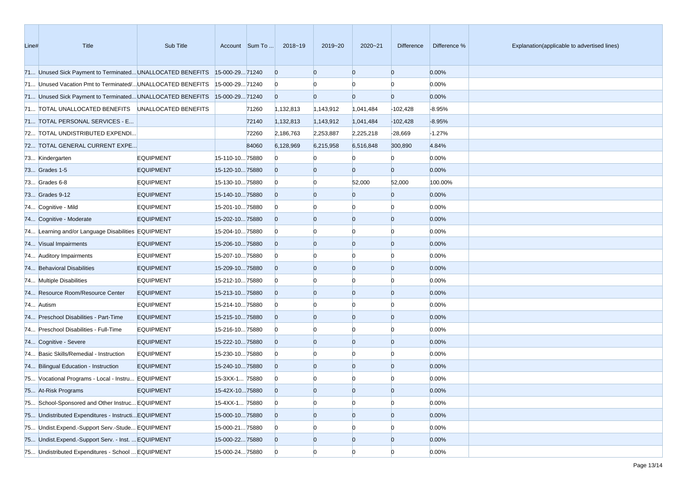| Line# | Title                                                                     | Sub Title        |                 | Account Sum To | 2018~19        | 2019~20        | $2020 - 21$    | <b>Difference</b> | Difference % | Explanation(applicable to advertised lines) |
|-------|---------------------------------------------------------------------------|------------------|-----------------|----------------|----------------|----------------|----------------|-------------------|--------------|---------------------------------------------|
|       | 71 Unused Sick Payment to Terminated UNALLOCATED BENEFITS                 |                  | 15-000-2971240  |                | $\overline{0}$ | $\Omega$       | $\overline{0}$ | $\overline{0}$    | 0.00%        |                                             |
|       | 71 Unused Vacation Pmt to Terminated/ UNALLOCATED BENEFITS                |                  | 15-000-2971240  |                | $\overline{0}$ |                | $\Omega$       | $\Omega$          | 0.00%        |                                             |
|       | 71 Unused Sick Payment to Terminated UNALLOCATED BENEFITS 15-000-29 71240 |                  |                 |                | $\overline{0}$ | $\overline{0}$ | $\overline{0}$ | $\overline{0}$    | 0.00%        |                                             |
|       | 71 TOTAL UNALLOCATED BENEFITS UNALLOCATED BENEFITS                        |                  |                 | 71260          | 1,132,813      | 1,143,912      | 1,041,484      | $-102,428$        | $-8.95%$     |                                             |
|       | 71 TOTAL PERSONAL SERVICES - E                                            |                  |                 | 72140          | 1,132,813      | 1,143,912      | 1,041,484      | $-102,428$        | $-8.95%$     |                                             |
|       | 72 TOTAL UNDISTRIBUTED EXPENDI                                            |                  |                 | 72260          | 2,186,763      | 2,253,887      | 2,225,218      | $-28,669$         | $-1.27%$     |                                             |
|       | 72 TOTAL GENERAL CURRENT EXPE                                             |                  |                 | 84060          | 6,128,969      | 6,215,958      | 6,516,848      | 300,890           | 4.84%        |                                             |
|       | 73 Kindergarten                                                           | <b>EQUIPMENT</b> | 15-110-1075880  |                | $\Omega$       |                |                |                   | 0.00%        |                                             |
|       | 73 Grades 1-5                                                             | <b>EQUIPMENT</b> | 15-120-1075880  |                | $\overline{0}$ | $\Omega$       | $\overline{0}$ | $\overline{0}$    | 0.00%        |                                             |
|       | 73 Grades 6-8                                                             | <b>EQUIPMENT</b> | 15-130-1075880  |                | $\overline{0}$ | $\Omega$       | 52,000         | 52,000            | 100.00%      |                                             |
|       | 73 Grades 9-12                                                            | <b>EQUIPMENT</b> | 15-140-1075880  |                | $\overline{0}$ | $\overline{0}$ | $\overline{0}$ | $\overline{0}$    | 0.00%        |                                             |
|       | 74 Cognitive - Mild                                                       | <b>EQUIPMENT</b> | 15-201-1075880  |                | $\overline{0}$ |                | $\Omega$       | $\Omega$          | 0.00%        |                                             |
|       | 74 Cognitive - Moderate                                                   | <b>EQUIPMENT</b> | 15-202-1075880  |                | $\overline{0}$ | $\Omega$       | $\overline{0}$ | $\overline{0}$    | 0.00%        |                                             |
|       | 74 Learning and/or Language Disabilities EQUIPMENT                        |                  | 15-204-1075880  |                | $\overline{0}$ |                | $\Omega$       | n                 | 0.00%        |                                             |
|       | 74 Visual Impairments                                                     | <b>EQUIPMENT</b> | 15-206-1075880  |                | $\overline{0}$ | $\Omega$       | $\overline{0}$ | $\overline{0}$    | 0.00%        |                                             |
|       | 74 Auditory Impairments                                                   | <b>EQUIPMENT</b> | 15-207-1075880  |                | $\overline{0}$ |                | $\Omega$       | $\Omega$          | 0.00%        |                                             |
|       | 74 Behavioral Disabilities                                                | <b>EQUIPMENT</b> | 15-209-1075880  |                | $\overline{0}$ | $\Omega$       | $\overline{0}$ | $\overline{0}$    | 0.00%        |                                             |
|       | 74 Multiple Disabilities                                                  | <b>EQUIPMENT</b> | 15-212-1075880  |                | $\bf{0}$       |                | $\Omega$       | $\Omega$          | 0.00%        |                                             |
|       | 74 Resource Room/Resource Center                                          | <b>EQUIPMENT</b> | 15-213-1075880  |                | $\overline{0}$ | $\Omega$       | $\overline{0}$ | $\overline{0}$    | 0.00%        |                                             |
|       | 74 Autism                                                                 | <b>EQUIPMENT</b> | 15-214-1075880  |                | $\overline{0}$ |                | $\Omega$       |                   | 0.00%        |                                             |
|       | 74 Preschool Disabilities - Part-Time                                     | <b>EQUIPMENT</b> | 15-215-1075880  |                | $\overline{0}$ | $\Omega$       | $\overline{0}$ | $\overline{0}$    | 0.00%        |                                             |
|       | 74 Preschool Disabilities - Full-Time                                     | <b>EQUIPMENT</b> | 15-216-1075880  |                | $\overline{0}$ |                | $\Omega$       | $\Omega$          | 0.00%        |                                             |
|       | 74 Cognitive - Severe                                                     | <b>EQUIPMENT</b> | 15-222-1075880  |                | $\overline{0}$ | $\Omega$       | $\overline{0}$ | $\overline{0}$    | 0.00%        |                                             |
|       | 74 Basic Skills/Remedial - Instruction                                    | <b>EQUIPMENT</b> | 15-230-1075880  |                | $\overline{0}$ |                | $\Omega$       |                   | 0.00%        |                                             |
|       | 74 Bilingual Education - Instruction                                      | <b>EQUIPMENT</b> | 15-240-1075880  |                | $\overline{0}$ | $\Omega$       | $\overline{0}$ | $\Omega$          | 0.00%        |                                             |
|       | 75 Vocational Programs - Local - Instru EQUIPMENT                         |                  | 15-3XX-1 75880  |                | $\overline{0}$ |                |                |                   | 0.00%        |                                             |
|       | 75 At-Risk Programs                                                       | <b>EQUIPMENT</b> | 15-42X-1075880  |                | $\Omega$       | $\Omega$       | $\Omega$       | $\Omega$          | 0.00%        |                                             |
|       | 75 School-Sponsored and Other Instruc EQUIPMENT                           |                  | 15-4XX-1 75880  |                | $\overline{0}$ | $\overline{0}$ | $\overline{0}$ | $\overline{0}$    | 0.00%        |                                             |
|       | 75 Undistributed Expenditures - Instructi EQUIPMENT                       |                  | 15-000-1075880  |                | $\overline{0}$ | $\overline{0}$ | $\overline{0}$ | $\overline{0}$    | 0.00%        |                                             |
|       | 75 Undist.Expend.-Support Serv.-Stude EQUIPMENT                           |                  | 15-000-21 75880 |                | $\overline{0}$ |                | $\overline{0}$ |                   | 0.00%        |                                             |
|       | 75 Undist.Expend.-Support Serv. - Inst.  EQUIPMENT                        |                  | 15-000-2275880  |                | $\overline{0}$ | $\overline{0}$ | $\overline{0}$ | $\overline{0}$    | 0.00%        |                                             |
|       | 75 Undistributed Expenditures - School  EQUIPMENT                         |                  | 15-000-24 75880 |                | $\overline{0}$ | $\overline{0}$ | $\overline{0}$ | $\Omega$          | 0.00%        |                                             |